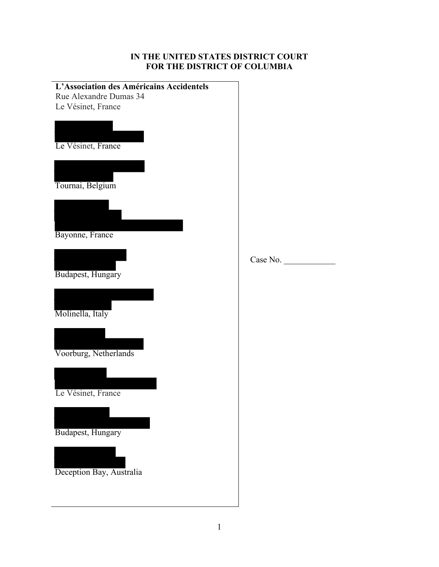# **IN THE UNITED STATES DISTRICT COURT FOR THE DISTRICT OF COLUMBIA**

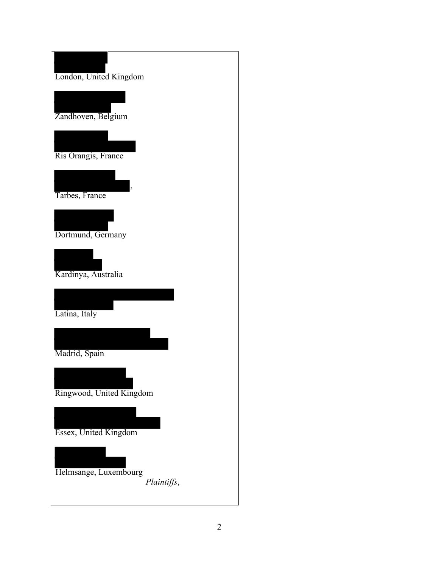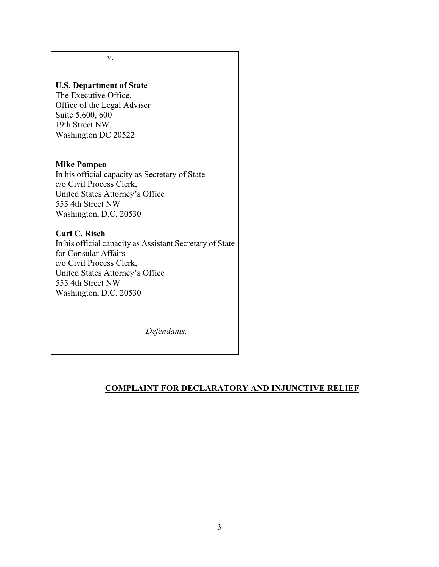v.

## **U.S. Department of State**

The Executive Office, Office of the Legal Adviser Suite 5.600, 600 19th Street NW. Washington DC 20522

### **Mike Pompeo**

In his official capacity as Secretary of State c/o Civil Process Clerk, United States Attorney's Office 555 4th Street NW Washington, D.C. 20530

# **Carl C. Risch**

In his official capacity as Assistant Secretary of State for Consular Affairs c/o Civil Process Clerk, United States Attorney's Office 555 4th Street NW Washington, D.C. 20530

*Defendants.*

# **COMPLAINT FOR DECLARATORY AND INJUNCTIVE RELIEF**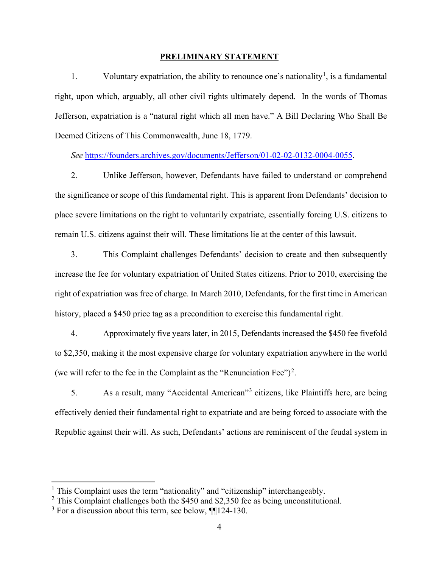### **PRELIMINARY STATEMENT**

[1](#page-3-0). Voluntary expatriation, the ability to renounce one's nationality<sup>1</sup>, is a fundamental right, upon which, arguably, all other civil rights ultimately depend. In the words of Thomas Jefferson, expatriation is a "natural right which all men have." A Bill Declaring Who Shall Be Deemed Citizens of This Commonwealth, June 18, 1779.

*See* [https://founders.archives.gov/documents/Jefferson/01-02-02-0132-0004-0055.](https://founders.archives.gov/documents/Jefferson/01-02-02-0132-0004-0055)

2. Unlike Jefferson, however, Defendants have failed to understand or comprehend the significance or scope of this fundamental right. This is apparent from Defendants' decision to place severe limitations on the right to voluntarily expatriate, essentially forcing U.S. citizens to remain U.S. citizens against their will. These limitations lie at the center of this lawsuit.

3. This Complaint challenges Defendants' decision to create and then subsequently increase the fee for voluntary expatriation of United States citizens. Prior to 2010, exercising the right of expatriation was free of charge. In March 2010, Defendants, for the first time in American history, placed a \$450 price tag as a precondition to exercise this fundamental right.

4. Approximately five years later, in 2015, Defendants increased the \$450 fee fivefold to \$2,350, making it the most expensive charge for voluntary expatriation anywhere in the world (we will refer to the fee in the Complaint as the "Renunciation Fee")<sup>[2](#page-3-1)</sup>.

5. As a result, many "Accidental American"[3](#page-3-2) citizens, like Plaintiffs here, are being effectively denied their fundamental right to expatriate and are being forced to associate with the Republic against their will. As such, Defendants' actions are reminiscent of the feudal system in

<sup>&</sup>lt;sup>1</sup> This Complaint uses the term "nationality" and "citizenship" interchangeably.

<span id="page-3-1"></span><span id="page-3-0"></span><sup>&</sup>lt;sup>2</sup> This Complaint challenges both the \$450 and \$2,350 fee as being unconstitutional.

<span id="page-3-2"></span> $3$  For a discussion about this term, see below,  $\P$ [124-130.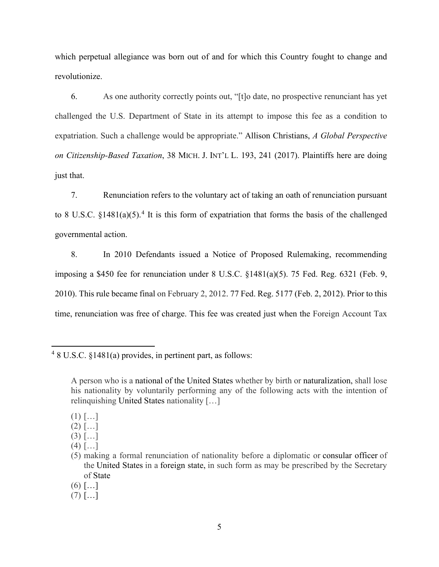which perpetual allegiance was born out of and for which this Country fought to change and revolutionize.

6. As one authority correctly points out, "[t]o date, no prospective renunciant has yet challenged the U.S. Department of State in its attempt to impose this fee as a condition to expatriation. Such a challenge would be appropriate." Allison Christians, *A Global Perspective on Citizenship-Based Taxation*, 38 MICH. J. INT'L L. 193, 241 (2017). Plaintiffs here are doing just that.

7. Renunciation refers to the voluntary act of taking an oath of renunciation pursuant to 8 U.S.C.  $\{1481(a)(5)\}$  $\{1481(a)(5)\}$  $\{1481(a)(5)\}$ <sup>4</sup> It is this form of expatriation that forms the basis of the challenged governmental action.

8. In 2010 Defendants issued a Notice of Proposed Rulemaking, recommending imposing a \$450 fee for renunciation under 8 U.S.C. §1481(a)(5). 75 Fed. Reg. 6321 (Feb. 9, 2010). This rule became final on February 2, 2012. 77 Fed. Reg. 5177 (Feb. 2, 2012). Prior to this time, renunciation was free of charge. This fee was created just when the Foreign Account Tax

- $(1)$   $[...]$
- $(2)$   $[...]$
- $(3)$   $[...]$
- $(4)$   $[...]$

 $(7)$   $[...]$ 

<span id="page-4-0"></span><sup>4</sup> 8 U.S.C. §1481(a) provides, in pertinent part, as follows:

A person who is a national of the United States whether by birth or naturalization, shall lose his nationality by voluntarily performing any of the following acts with the intention of relinquishing United States nationality […]

<sup>(5)</sup> making a formal renunciation of nationality before a diplomatic or consular officer of the United States in a foreign state, in such form as may be prescribed by the Secretary of State

 $(6)$   $[...]$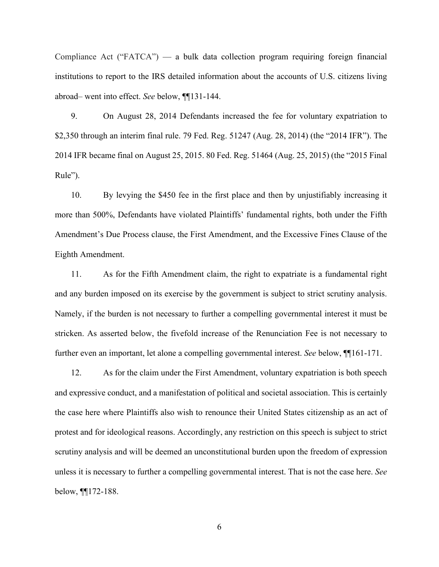Compliance Act ("FATCA") — a bulk data collection program requiring foreign financial institutions to report to the IRS detailed information about the accounts of U.S. citizens living abroad– went into effect. *See* below, ¶¶131-144.

9. On August 28, 2014 Defendants increased the fee for voluntary expatriation to \$2,350 through an interim final rule. 79 Fed. Reg. 51247 (Aug. 28, 2014) (the "2014 IFR"). The 2014 IFR became final on August 25, 2015. 80 Fed. Reg. 51464 (Aug. 25, 2015) (the "2015 Final Rule").

10. By levying the \$450 fee in the first place and then by unjustifiably increasing it more than 500%, Defendants have violated Plaintiffs' fundamental rights, both under the Fifth Amendment's Due Process clause, the First Amendment, and the Excessive Fines Clause of the Eighth Amendment.

11. As for the Fifth Amendment claim, the right to expatriate is a fundamental right and any burden imposed on its exercise by the government is subject to strict scrutiny analysis. Namely, if the burden is not necessary to further a compelling governmental interest it must be stricken. As asserted below, the fivefold increase of the Renunciation Fee is not necessary to further even an important, let alone a compelling governmental interest. *See* below, ¶¶161-171.

12. As for the claim under the First Amendment, voluntary expatriation is both speech and expressive conduct, and a manifestation of political and societal association. This is certainly the case here where Plaintiffs also wish to renounce their United States citizenship as an act of protest and for ideological reasons. Accordingly, any restriction on this speech is subject to strict scrutiny analysis and will be deemed an unconstitutional burden upon the freedom of expression unless it is necessary to further a compelling governmental interest. That is not the case here. *See* below, ¶¶172-188.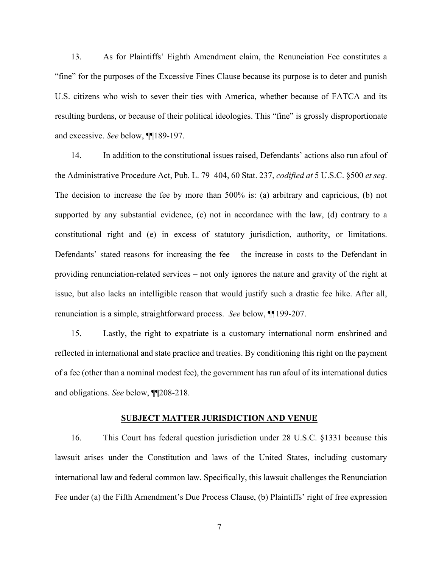13. As for Plaintiffs' Eighth Amendment claim, the Renunciation Fee constitutes a "fine" for the purposes of the Excessive Fines Clause because its purpose is to deter and punish U.S. citizens who wish to sever their ties with America, whether because of FATCA and its resulting burdens, or because of their political ideologies. This "fine" is grossly disproportionate and excessive. *See* below, ¶¶189-197.

14. In addition to the constitutional issues raised, Defendants' actions also run afoul of the Administrative Procedure Act, Pub. L. 79–404, 60 Stat. 237, *codified at* 5 U.S.C. §500 *et seq*. The decision to increase the fee by more than 500% is: (a) arbitrary and capricious, (b) not supported by any substantial evidence, (c) not in accordance with the law, (d) contrary to a constitutional right and (e) in excess of statutory jurisdiction, authority, or limitations. Defendants' stated reasons for increasing the fee – the increase in costs to the Defendant in providing renunciation-related services – not only ignores the nature and gravity of the right at issue, but also lacks an intelligible reason that would justify such a drastic fee hike. After all, renunciation is a simple, straightforward process. *See* below, ¶¶199-207.

15. Lastly, the right to expatriate is a customary international norm enshrined and reflected in international and state practice and treaties. By conditioning this right on the payment of a fee (other than a nominal modest fee), the government has run afoul of its international duties and obligations. *See* below, ¶¶208-218.

### **SUBJECT MATTER JURISDICTION AND VENUE**

16. This Court has federal question jurisdiction under 28 U.S.C. §1331 because this lawsuit arises under the Constitution and laws of the United States, including customary international law and federal common law. Specifically, this lawsuit challenges the Renunciation Fee under (a) the Fifth Amendment's Due Process Clause, (b) Plaintiffs' right of free expression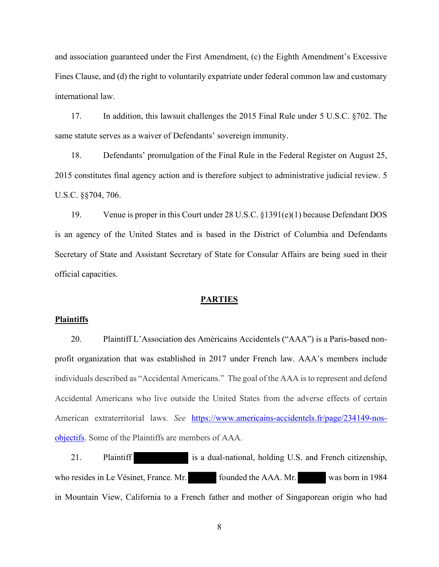and association guaranteed under the First Amendment, (c) the Eighth Amendment's Excessive Fines Clause, and (d) the right to voluntarily expatriate under federal common law and customary international law.

17. In addition, this lawsuit challenges the 2015 Final Rule under 5 U.S.C. §702. The same statute serves as a waiver of Defendants' sovereign immunity.

18. Defendants' promulgation of the Final Rule in the Federal Register on August 25, 2015 constitutes final agency action and is therefore subject to administrative judicial review. 5 U.S.C. §§704, 706.

19. Venue is proper in this Court under 28 U.S.C. §1391(e)(1) because Defendant DOS is an agency of the United States and is based in the District of Columbia and Defendants Secretary of State and Assistant Secretary of State for Consular Affairs are being sued in their official capacities.

# **PARTIES**

#### **Plaintiffs**

20. Plaintiff L'Association des Américains Accidentels ("AAA") is a Paris-based nonprofit organization that was established in 2017 under French law. AAA's members include individuals described as "Accidental Americans." The goal of the AAA is to represent and defend Accidental Americans who live outside the United States from the adverse effects of certain American extraterritorial laws. *See* [https://www.americains-accidentels.fr/page/234149-nos](https://www.americains-accidentels.fr/page/234149-nos-objectifs)[objectifs.](https://www.americains-accidentels.fr/page/234149-nos-objectifs) Some of the Plaintiffs are members of AAA.

21. Plaintiff is a dual-national, holding U.S. and French citizenship, who resides in Le Vésinet, France. Mr. founded the AAA. Mr. was born in 1984 in Mountain View, California to a French father and mother of Singaporean origin who had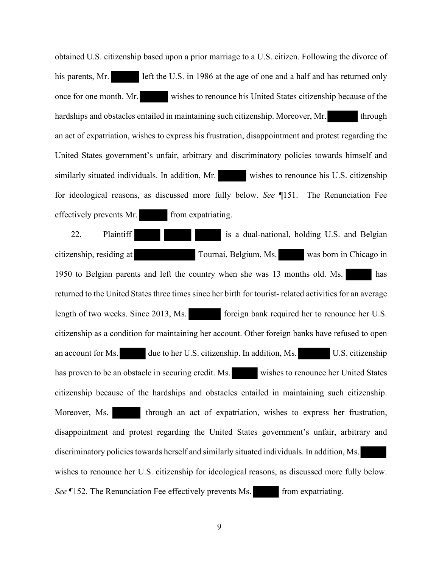obtained U.S. citizenship based upon a prior marriage to a U.S. citizen. Following the divorce of his parents, Mr. left the U.S. in 1986 at the age of one and a half and has returned only once for one month. Mr. wishes to renounce his United States citizenship because of the hardships and obstacles entailed in maintaining such citizenship. Moreover, Mr. through an act of expatriation, wishes to express his frustration, disappointment and protest regarding the United States government's unfair, arbitrary and discriminatory policies towards himself and similarly situated individuals. In addition, Mr. wishes to renounce his U.S. citizenship for ideological reasons, as discussed more fully below. *See* ¶151. The Renunciation Fee effectively prevents Mr. from expatriating.

22. Plaintiff **in the case of the is a dual-national, holding U.S. and Belgian** citizenship, residing at Tournai, Belgium. Ms. was born in Chicago in 1950 to Belgian parents and left the country when she was 13 months old. Ms. has returned to the United States three times since her birth for tourist- related activities for an average length of two weeks. Since 2013, Ms. foreign bank required her to renounce her U.S. citizenship as a condition for maintaining her account. Other foreign banks have refused to open an account for Ms. due to her U.S. citizenship. In addition, Ms. U.S. citizenship has proven to be an obstacle in securing credit. Ms. wishes to renounce her United States citizenship because of the hardships and obstacles entailed in maintaining such citizenship. Moreover, Ms. through an act of expatriation, wishes to express her frustration, disappointment and protest regarding the United States government's unfair, arbitrary and discriminatory policies towards herself and similarly situated individuals. In addition, Ms. wishes to renounce her U.S. citizenship for ideological reasons, as discussed more fully below. *See* ¶152. The Renunciation Fee effectively prevents Ms. from expatriating.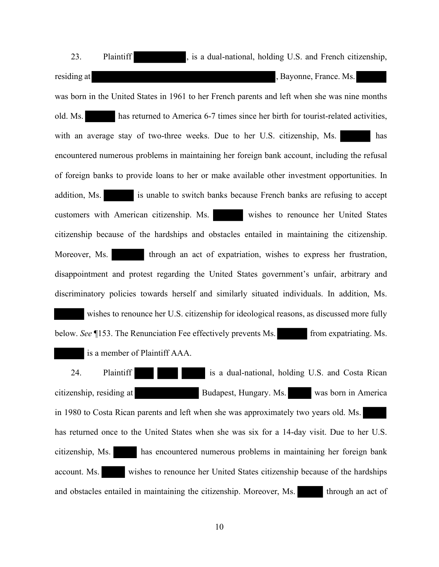23. Plaintiff here is a dual-national, holding U.S. and French citizenship, residing at , Bayonne, France. Ms. was born in the United States in 1961 to her French parents and left when she was nine months old. Ms. has returned to America 6-7 times since her birth for tourist-related activities, with an average stay of two-three weeks. Due to her U.S. citizenship, Ms. has encountered numerous problems in maintaining her foreign bank account, including the refusal of foreign banks to provide loans to her or make available other investment opportunities. In addition, Ms. **is unable to switch banks because French banks are refusing to accept** customers with American citizenship. Ms. wishes to renounce her United States citizenship because of the hardships and obstacles entailed in maintaining the citizenship. Moreover, Ms. through an act of expatriation, wishes to express her frustration, disappointment and protest regarding the United States government's unfair, arbitrary and discriminatory policies towards herself and similarly situated individuals. In addition, Ms. wishes to renounce her U.S. citizenship for ideological reasons, as discussed more fully below. *See* [153. The Renunciation Fee effectively prevents Ms. from expatriating. Ms. is a member of Plaintiff AAA.

24. Plaintiff is a dual-national, holding U.S. and Costa Rican citizenship, residing at Budapest, Hungary. Ms. was born in America in 1980 to Costa Rican parents and left when she was approximately two years old. Ms. has returned once to the United States when she was six for a 14-day visit. Due to her U.S. citizenship, Ms. has encountered numerous problems in maintaining her foreign bank account. Ms. wishes to renounce her United States citizenship because of the hardships and obstacles entailed in maintaining the citizenship. Moreover, Ms. through an act of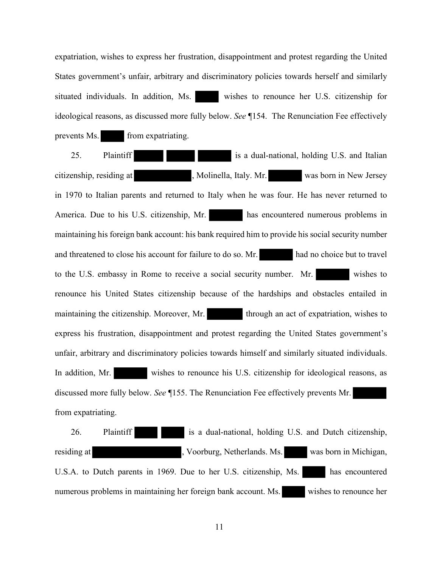expatriation, wishes to express her frustration, disappointment and protest regarding the United States government's unfair, arbitrary and discriminatory policies towards herself and similarly situated individuals. In addition, Ms. wishes to renounce her U.S. citizenship for ideological reasons, as discussed more fully below. *See* ¶154. The Renunciation Fee effectively prevents Ms. from expatriating.

25. Plaintiff **in the case of the is a dual-national, holding U.S. and Italian** citizenship, residing at , Molinella, Italy. Mr. was born in New Jersey in 1970 to Italian parents and returned to Italy when he was four. He has never returned to America. Due to his U.S. citizenship, Mr. has encountered numerous problems in maintaining his foreign bank account: his bank required him to provide his social security number and threatened to close his account for failure to do so. Mr. had no choice but to travel to the U.S. embassy in Rome to receive a social security number. Mr. wishes to renounce his United States citizenship because of the hardships and obstacles entailed in maintaining the citizenship. Moreover, Mr. through an act of expatriation, wishes to express his frustration, disappointment and protest regarding the United States government's unfair, arbitrary and discriminatory policies towards himself and similarly situated individuals. In addition, Mr. wishes to renounce his U.S. citizenship for ideological reasons, as discussed more fully below. *See* ¶155. The Renunciation Fee effectively prevents Mr. from expatriating.

26. Plaintiff is a dual-national, holding U.S. and Dutch citizenship, residing at <br>
1. Voorburg, Netherlands. Ms. was born in Michigan, U.S.A. to Dutch parents in 1969. Due to her U.S. citizenship, Ms. has encountered numerous problems in maintaining her foreign bank account. Ms. wishes to renounce her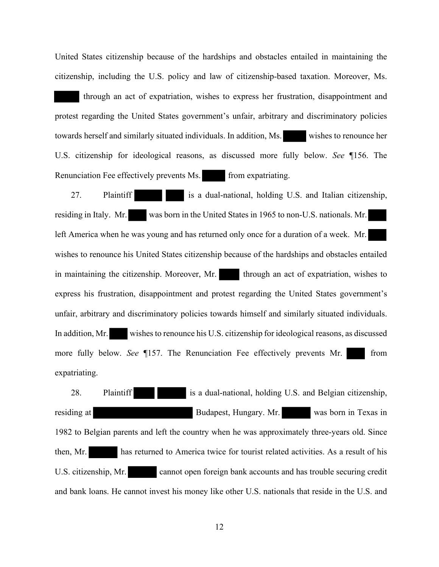United States citizenship because of the hardships and obstacles entailed in maintaining the citizenship, including the U.S. policy and law of citizenship-based taxation. Moreover, Ms.

 through an act of expatriation, wishes to express her frustration, disappointment and protest regarding the United States government's unfair, arbitrary and discriminatory policies towards herself and similarly situated individuals. In addition, Ms. wishes to renounce her U.S. citizenship for ideological reasons, as discussed more fully below. *See* ¶156. The Renunciation Fee effectively prevents Ms. from expatriating.

27. Plaintiff is a dual-national, holding U.S. and Italian citizenship, residing in Italy. Mr. was born in the United States in 1965 to non-U.S. nationals. Mr. left America when he was young and has returned only once for a duration of a week. Mr. wishes to renounce his United States citizenship because of the hardships and obstacles entailed in maintaining the citizenship. Moreover, Mr. through an act of expatriation, wishes to express his frustration, disappointment and protest regarding the United States government's unfair, arbitrary and discriminatory policies towards himself and similarly situated individuals. In addition, Mr. wishes to renounce his U.S. citizenship for ideological reasons, as discussed more fully below. *See* ¶157. The Renunciation Fee effectively prevents Mr. from expatriating.

28. Plaintiff is a dual-national, holding U.S. and Belgian citizenship, residing at Budapest, Hungary. Mr. was born in Texas in 1982 to Belgian parents and left the country when he was approximately three-years old. Since then, Mr. has returned to America twice for tourist related activities. As a result of his U.S. citizenship, Mr. cannot open foreign bank accounts and has trouble securing credit and bank loans. He cannot invest his money like other U.S. nationals that reside in the U.S. and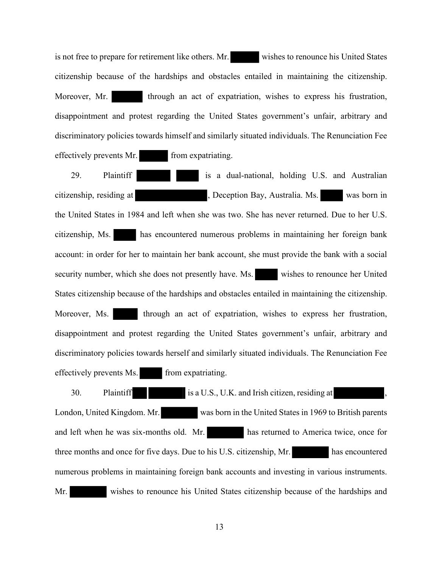is not free to prepare for retirement like others. Mr. wishes to renounce his United States citizenship because of the hardships and obstacles entailed in maintaining the citizenship. Moreover, Mr. through an act of expatriation, wishes to express his frustration, disappointment and protest regarding the United States government's unfair, arbitrary and discriminatory policies towards himself and similarly situated individuals. The Renunciation Fee effectively prevents Mr. from expatriating.

29. Plaintiff is a dual-national, holding U.S. and Australian citizenship, residing at , Deception Bay, Australia. Ms. was born in the United States in 1984 and left when she was two. She has never returned. Due to her U.S. citizenship, Ms. has encountered numerous problems in maintaining her foreign bank account: in order for her to maintain her bank account, she must provide the bank with a social security number, which she does not presently have. Ms. wishes to renounce her United States citizenship because of the hardships and obstacles entailed in maintaining the citizenship. Moreover, Ms. through an act of expatriation, wishes to express her frustration, disappointment and protest regarding the United States government's unfair, arbitrary and discriminatory policies towards herself and similarly situated individuals. The Renunciation Fee effectively prevents Ms. from expatriating.

30. Plaintiff is a U.S., U.K. and Irish citizen, residing at London, United Kingdom. Mr. was born in the United States in 1969 to British parents and left when he was six-months old. Mr. has returned to America twice, once for three months and once for five days. Due to his U.S. citizenship, Mr. has encountered numerous problems in maintaining foreign bank accounts and investing in various instruments. Mr. wishes to renounce his United States citizenship because of the hardships and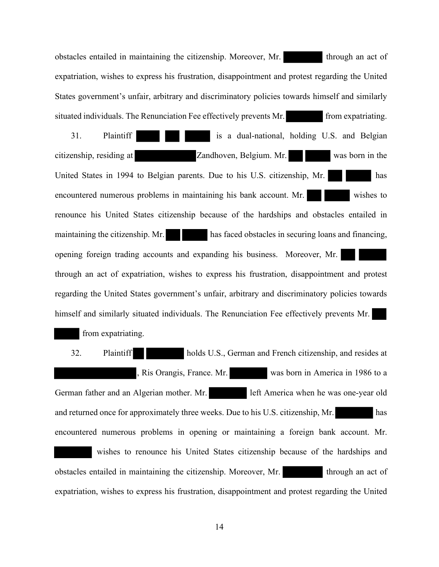obstacles entailed in maintaining the citizenship. Moreover, Mr. through an act of expatriation, wishes to express his frustration, disappointment and protest regarding the United States government's unfair, arbitrary and discriminatory policies towards himself and similarly situated individuals. The Renunciation Fee effectively prevents Mr. **From expatriating.** 

31. Plaintiff is a dual-national, holding U.S. and Belgian citizenship, residing at Zandhoven, Belgium. Mr. was born in the United States in 1994 to Belgian parents. Due to his U.S. citizenship, Mr. has encountered numerous problems in maintaining his bank account. Mr. wishes to renounce his United States citizenship because of the hardships and obstacles entailed in maintaining the citizenship. Mr. has faced obstacles in securing loans and financing, opening foreign trading accounts and expanding his business. Moreover, Mr. through an act of expatriation, wishes to express his frustration, disappointment and protest regarding the United States government's unfair, arbitrary and discriminatory policies towards himself and similarly situated individuals. The Renunciation Fee effectively prevents Mr.

from expatriating.

32. Plaintiff holds U.S., German and French citizenship, and resides at Ris Orangis, France. Mr. was born in America in 1986 to a German father and an Algerian mother. Mr. left America when he was one-year old and returned once for approximately three weeks. Due to his U.S. citizenship, Mr. has encountered numerous problems in opening or maintaining a foreign bank account. Mr. wishes to renounce his United States citizenship because of the hardships and obstacles entailed in maintaining the citizenship. Moreover, Mr. through an act of expatriation, wishes to express his frustration, disappointment and protest regarding the United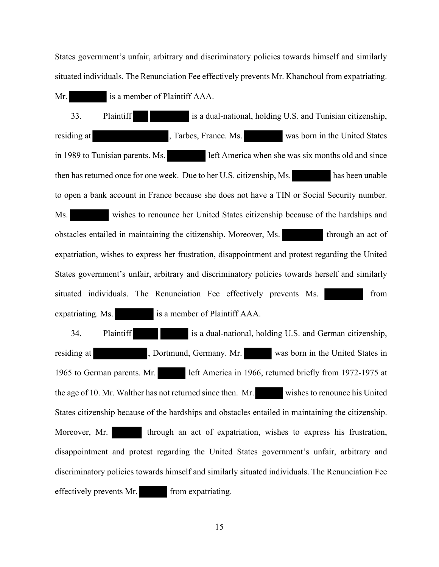States government's unfair, arbitrary and discriminatory policies towards himself and similarly situated individuals. The Renunciation Fee effectively prevents Mr. Khanchoul from expatriating.

Mr. is a member of Plaintiff AAA.

33. Plaintiff is a dual-national, holding U.S. and Tunisian citizenship, residing at Tarbes, France. Ms. was born in the United States in 1989 to Tunisian parents. Ms. left America when she was six months old and since then has returned once for one week. Due to her U.S. citizenship, Ms. has been unable to open a bank account in France because she does not have a TIN or Social Security number. Ms. wishes to renounce her United States citizenship because of the hardships and obstacles entailed in maintaining the citizenship. Moreover, Ms. through an act of expatriation, wishes to express her frustration, disappointment and protest regarding the United States government's unfair, arbitrary and discriminatory policies towards herself and similarly situated individuals. The Renunciation Fee effectively prevents Ms. **Fig. 1. 1999** from expatriating. Ms. is a member of Plaintiff AAA.

34. Plaintiff is a dual-national, holding U.S. and German citizenship, residing at , Dortmund, Germany. Mr. was born in the United States in 1965 to German parents. Mr. left America in 1966, returned briefly from 1972-1975 at the age of 10. Mr. Walther has not returned since then. Mr. wishes to renounce his United States citizenship because of the hardships and obstacles entailed in maintaining the citizenship. Moreover, Mr. through an act of expatriation, wishes to express his frustration, disappointment and protest regarding the United States government's unfair, arbitrary and discriminatory policies towards himself and similarly situated individuals. The Renunciation Fee effectively prevents Mr. from expatriating.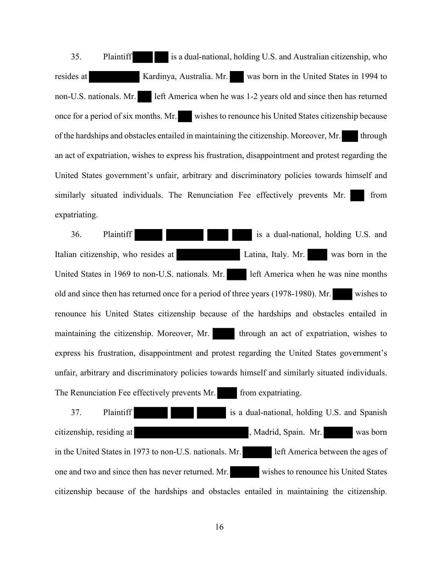35. Plaintiff is a dual-national, holding U.S. and Australian citizenship, who resides at Kardinya, Australia. Mr. was born in the United States in 1994 to non-U.S. nationals. Mr. left America when he was 1-2 years old and since then has returned once for a period of six months. Mr. wishes to renounce his United States citizenship because of the hardships and obstacles entailed in maintaining the citizenship. Moreover, Mr. through an act of expatriation, wishes to express his frustration, disappointment and protest regarding the United States government's unfair, arbitrary and discriminatory policies towards himself and similarly situated individuals. The Renunciation Fee effectively prevents Mr. from expatriating.

36. Plaintiff is a dual-national, holding U.S. and Italian citizenship, who resides at Latina, Italy. Mr. was born in the United States in 1969 to non-U.S. nationals. Mr. left America when he was nine months old and since then has returned once for a period of three years (1978-1980). Mr. wishes to renounce his United States citizenship because of the hardships and obstacles entailed in maintaining the citizenship. Moreover, Mr. through an act of expatriation, wishes to express his frustration, disappointment and protest regarding the United States government's unfair, arbitrary and discriminatory policies towards himself and similarly situated individuals. The Renunciation Fee effectively prevents Mr. from expatriating.

37. Plaintiff is a dual-national, holding U.S. and Spanish citizenship, residing at , Madrid, Spain. Mr. was born in the United States in 1973 to non-U.S. nationals. Mr. **left America between the ages of** one and two and since then has never returned. Mr. wishes to renounce his United States citizenship because of the hardships and obstacles entailed in maintaining the citizenship.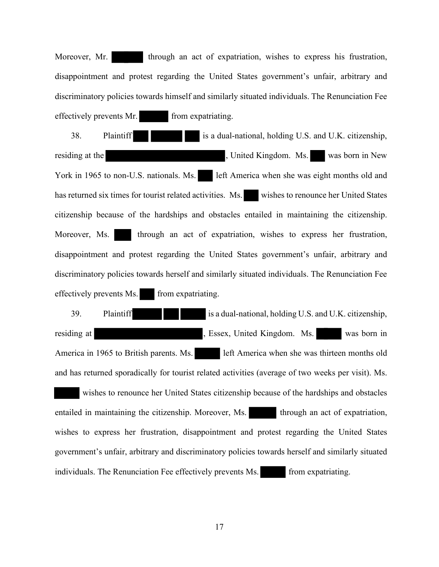Moreover, Mr. through an act of expatriation, wishes to express his frustration, disappointment and protest regarding the United States government's unfair, arbitrary and discriminatory policies towards himself and similarly situated individuals. The Renunciation Fee effectively prevents Mr. from expatriating.

38. Plaintiff is a dual-national, holding U.S. and U.K. citizenship, residing at the state of the state of the state of the state of the state of the state of the state of the state of the state of the state of the state of the state of the state of the state of the state of the state of th York in 1965 to non-U.S. nationals. Ms. left America when she was eight months old and has returned six times for tourist related activities. Ms. wishes to renounce her United States citizenship because of the hardships and obstacles entailed in maintaining the citizenship. Moreover, Ms. through an act of expatriation, wishes to express her frustration, disappointment and protest regarding the United States government's unfair, arbitrary and discriminatory policies towards herself and similarly situated individuals. The Renunciation Fee effectively prevents Ms. from expatriating.

39. Plaintiff is a dual-national, holding U.S. and U.K. citizenship, residing at <br>
1. Essex, United Kingdom. Ms. was born in America in 1965 to British parents. Ms. left America when she was thirteen months old and has returned sporadically for tourist related activities (average of two weeks per visit). Ms. wishes to renounce her United States citizenship because of the hardships and obstacles entailed in maintaining the citizenship. Moreover, Ms. through an act of expatriation, wishes to express her frustration, disappointment and protest regarding the United States government's unfair, arbitrary and discriminatory policies towards herself and similarly situated individuals. The Renunciation Fee effectively prevents Ms. from expatriating.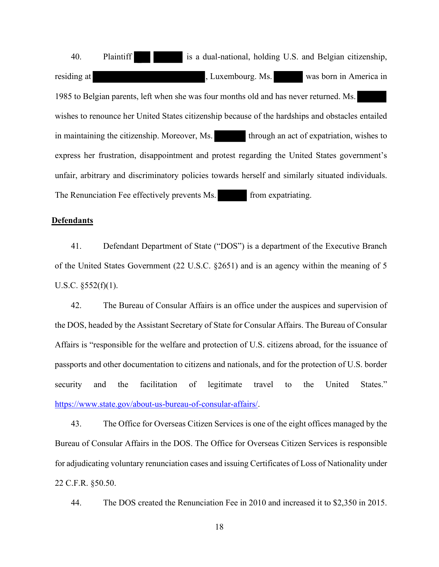40. Plaintiff is a dual-national, holding U.S. and Belgian citizenship, residing at <br> **The strategies of the strategies of the strategies of the strategies of the strategies of the strategies of the strategies of the strategies of the strategies of the strategies of the strategies of the strat** 1985 to Belgian parents, left when she was four months old and has never returned. Ms. wishes to renounce her United States citizenship because of the hardships and obstacles entailed in maintaining the citizenship. Moreover, Ms. through an act of expatriation, wishes to express her frustration, disappointment and protest regarding the United States government's unfair, arbitrary and discriminatory policies towards herself and similarly situated individuals. The Renunciation Fee effectively prevents Ms. from expatriating.

# **Defendants**

41. Defendant Department of State ("DOS") is a department of the Executive Branch of the United States Government (22 U.S.C. §2651) and is an agency within the meaning of 5 U.S.C. §552(f)(1).

42. The Bureau of Consular Affairs is an office under the auspices and supervision of the DOS, headed by the Assistant Secretary of State for Consular Affairs. The Bureau of Consular Affairs is "responsible for the welfare and protection of U.S. citizens abroad, for the issuance of passports and other documentation to citizens and nationals, and for the protection of U.S. border security and the facilitation of legitimate travel to the United States." [https://www.state.gov/about-us-bureau-of-consular-affairs/.](https://www.state.gov/about-us-bureau-of-consular-affairs/)

43. The Office for Overseas Citizen Services is one of the eight offices managed by the Bureau of Consular Affairs in the DOS. The Office for Overseas Citizen Services is responsible for adjudicating voluntary renunciation cases and issuing Certificates of Loss of Nationality under 22 C.F.R. §50.50.

44. The DOS created the Renunciation Fee in 2010 and increased it to \$2,350 in 2015.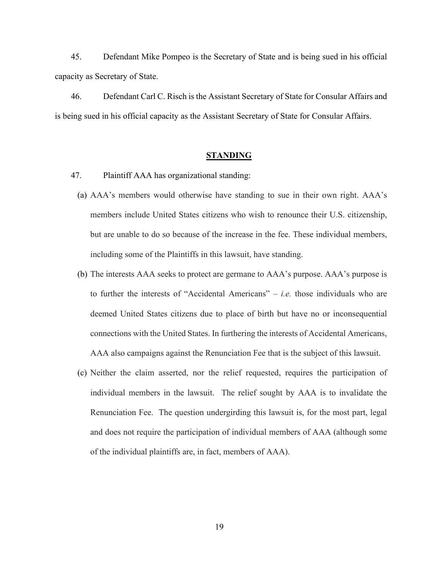45. Defendant Mike Pompeo is the Secretary of State and is being sued in his official capacity as Secretary of State.

46. Defendant Carl C. Risch is the Assistant Secretary of State for Consular Affairs and is being sued in his official capacity as the Assistant Secretary of State for Consular Affairs.

### **STANDING**

- 47. Plaintiff AAA has organizational standing:
	- (a) AAA's members would otherwise have standing to sue in their own right. AAA's members include United States citizens who wish to renounce their U.S. citizenship, but are unable to do so because of the increase in the fee. These individual members, including some of the Plaintiffs in this lawsuit, have standing.
	- (b) The interests AAA seeks to protect are germane to AAA's purpose. AAA's purpose is to further the interests of "Accidental Americans" – *i.e.* those individuals who are deemed United States citizens due to place of birth but have no or inconsequential connections with the United States. In furthering the interests of Accidental Americans, AAA also campaigns against the Renunciation Fee that is the subject of this lawsuit.
	- (c) Neither the claim asserted, nor the relief requested, requires the participation of individual members in the lawsuit. The relief sought by AAA is to invalidate the Renunciation Fee. The question undergirding this lawsuit is, for the most part, legal and does not require the participation of individual members of AAA (although some of the individual plaintiffs are, in fact, members of AAA).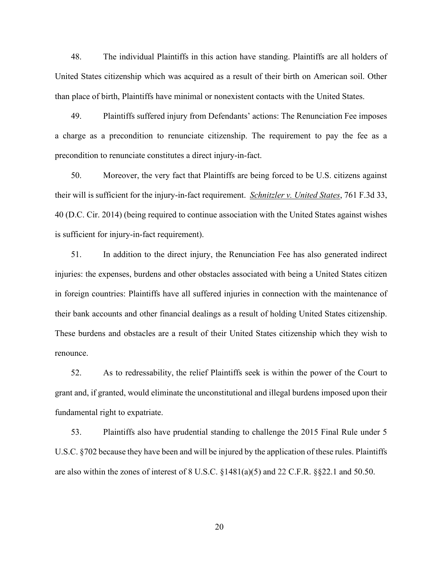48. The individual Plaintiffs in this action have standing. Plaintiffs are all holders of United States citizenship which was acquired as a result of their birth on American soil. Other than place of birth, Plaintiffs have minimal or nonexistent contacts with the United States.

49. Plaintiffs suffered injury from Defendants' actions: The Renunciation Fee imposes a charge as a precondition to renunciate citizenship. The requirement to pay the fee as a precondition to renunciate constitutes a direct injury-in-fact.

50. Moreover, the very fact that Plaintiffs are being forced to be U.S. citizens against their will is sufficient for the injury-in-fact requirement. *Schnitzler v. United States*, 761 F.3d 33, 40 (D.C. Cir. 2014) (being required to continue association with the United States against wishes is sufficient for injury-in-fact requirement).

51. In addition to the direct injury, the Renunciation Fee has also generated indirect injuries: the expenses, burdens and other obstacles associated with being a United States citizen in foreign countries: Plaintiffs have all suffered injuries in connection with the maintenance of their bank accounts and other financial dealings as a result of holding United States citizenship. These burdens and obstacles are a result of their United States citizenship which they wish to renounce.

52. As to redressability, the relief Plaintiffs seek is within the power of the Court to grant and, if granted, would eliminate the unconstitutional and illegal burdens imposed upon their fundamental right to expatriate.

53. Plaintiffs also have prudential standing to challenge the 2015 Final Rule under 5 U.S.C. §702 because they have been and will be injured by the application of these rules. Plaintiffs are also within the zones of interest of 8 U.S.C. §1481(a)(5) and 22 C.F.R. §§22.1 and 50.50.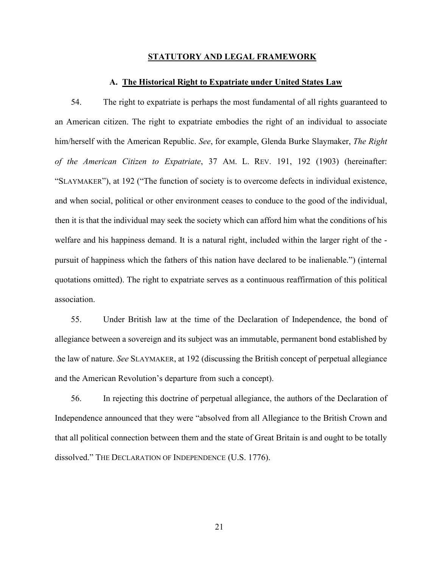#### **STATUTORY AND LEGAL FRAMEWORK**

### **A. The Historical Right to Expatriate under United States Law**

54. The right to expatriate is perhaps the most fundamental of all rights guaranteed to an American citizen. The right to expatriate embodies the right of an individual to associate him/herself with the American Republic. *See*, for example, Glenda Burke Slaymaker, *The Right of the American Citizen to Expatriate*, 37 AM. L. REV. 191, 192 (1903) (hereinafter: "SLAYMAKER"), at 192 ("The function of society is to overcome defects in individual existence, and when social, political or other environment ceases to conduce to the good of the individual, then it is that the individual may seek the society which can afford him what the conditions of his welfare and his happiness demand. It is a natural right, included within the larger right of the pursuit of happiness which the fathers of this nation have declared to be inalienable.") (internal quotations omitted). The right to expatriate serves as a continuous reaffirmation of this political association.

55. Under British law at the time of the Declaration of Independence, the bond of allegiance between a sovereign and its subject was an immutable, permanent bond established by the law of nature. *See* SLAYMAKER, at 192 (discussing the British concept of perpetual allegiance and the American Revolution's departure from such a concept).

56. In rejecting this doctrine of perpetual allegiance, the authors of the Declaration of Independence announced that they were "absolved from all Allegiance to the British Crown and that all political connection between them and the state of Great Britain is and ought to be totally dissolved." THE DECLARATION OF INDEPENDENCE (U.S. 1776).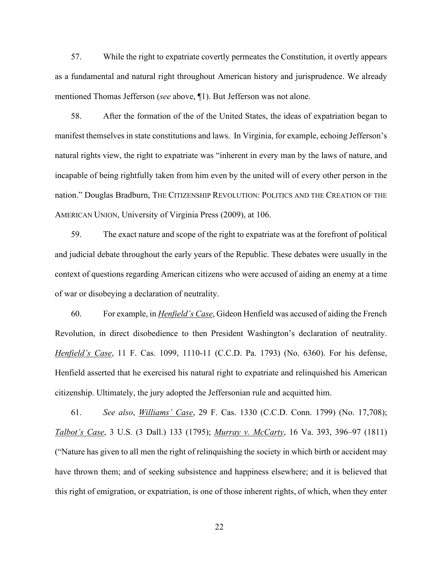57. While the right to expatriate covertly permeates the Constitution, it overtly appears as a fundamental and natural right throughout American history and jurisprudence. We already mentioned Thomas Jefferson (*see* above, ¶1). But Jefferson was not alone.

58. After the formation of the of the United States, the ideas of expatriation began to manifest themselves in state constitutions and laws. In Virginia, for example, echoing Jefferson's natural rights view, the right to expatriate was "inherent in every man by the laws of nature, and incapable of being rightfully taken from him even by the united will of every other person in the nation." Douglas Bradburn, THE CITIZENSHIP REVOLUTION: POLITICS AND THE CREATION OF THE AMERICAN UNION, University of Virginia Press (2009), at 106.

59. The exact nature and scope of the right to expatriate was at the forefront of political and judicial debate throughout the early years of the Republic. These debates were usually in the context of questions regarding American citizens who were accused of aiding an enemy at a time of war or disobeying a declaration of neutrality.

60. For example, in *Henfield's Case*, Gideon Henfield was accused of aiding the French Revolution, in direct disobedience to then President Washington's declaration of neutrality. *Henfield's Case*, 11 F. Cas. 1099, 1110-11 (C.C.D. Pa. 1793) (No. 6360). For his defense, Henfield asserted that he exercised his natural right to expatriate and relinquished his American citizenship. Ultimately, the jury adopted the Jeffersonian rule and acquitted him.

61. *See also*, *Williams' Case*, 29 F. Cas. 1330 (C.C.D. Conn. 1799) (No. 17,708); *Talbot's Case*, 3 U.S. (3 Dall.) 133 (1795); *Murray v. McCarty*, 16 Va. 393, 396–97 (1811) ("Nature has given to all men the right of relinquishing the society in which birth or accident may have thrown them; and of seeking subsistence and happiness elsewhere; and it is believed that this right of emigration, or expatriation, is one of those inherent rights, of which, when they enter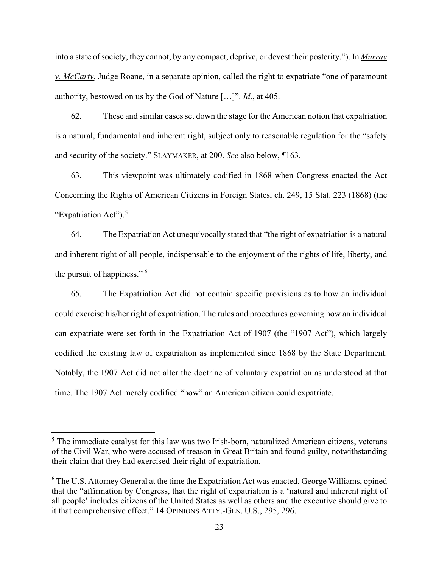into a state of society, they cannot, by any compact, deprive, or devest their posterity."). In *Murray v. McCarty*, Judge Roane, in a separate opinion, called the right to expatriate "one of paramount authority, bestowed on us by the God of Nature […]". *Id*., at 405.

62. These and similar cases set down the stage for the American notion that expatriation is a natural, fundamental and inherent right, subject only to reasonable regulation for the "safety and security of the society." SLAYMAKER, at 200. *See* also below, ¶163.

63. This viewpoint was ultimately codified in 1868 when Congress enacted the Act Concerning the Rights of American Citizens in Foreign States, ch. 249, 15 Stat. 223 (1868) (the "Expatriation Act").<sup>[5](#page-22-0)</sup>

64. The Expatriation Act unequivocally stated that "the right of expatriation is a natural and inherent right of all people, indispensable to the enjoyment of the rights of life, liberty, and the pursuit of happiness." [6](#page-22-1)

65. The Expatriation Act did not contain specific provisions as to how an individual could exercise his/her right of expatriation. The rules and procedures governing how an individual can expatriate were set forth in the Expatriation Act of 1907 (the "1907 Act"), which largely codified the existing law of expatriation as implemented since 1868 by the State Department. Notably, the 1907 Act did not alter the doctrine of voluntary expatriation as understood at that time. The 1907 Act merely codified "how" an American citizen could expatriate.

<span id="page-22-0"></span><sup>&</sup>lt;sup>5</sup> The immediate catalyst for this law was two Irish-born, naturalized American citizens, veterans of the Civil War, who were accused of treason in Great Britain and found guilty, notwithstanding their claim that they had exercised their right of expatriation.

<span id="page-22-1"></span> $6$  The U.S. Attorney General at the time the Expatriation Act was enacted, George Williams, opined that the "affirmation by Congress, that the right of expatriation is a 'natural and inherent right of all people' includes citizens of the United States as well as others and the executive should give to it that comprehensive effect." 14 OPINIONS ATTY.-GEN. U.S., 295, 296.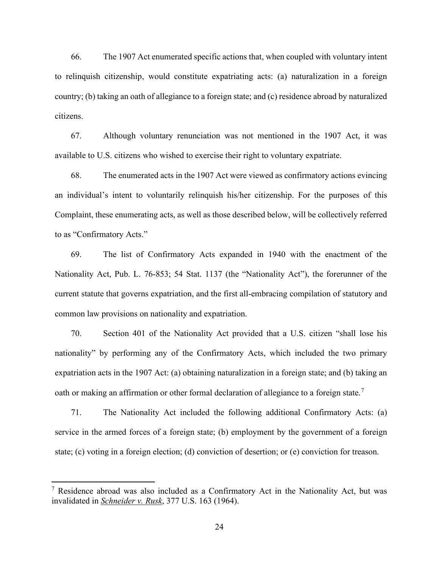66. The 1907 Act enumerated specific actions that, when coupled with voluntary intent to relinquish citizenship, would constitute expatriating acts: (a) naturalization in a foreign country; (b) taking an oath of allegiance to a foreign state; and (c) residence abroad by naturalized citizens.

67. Although voluntary renunciation was not mentioned in the 1907 Act, it was available to U.S. citizens who wished to exercise their right to voluntary expatriate.

68. The enumerated acts in the 1907 Act were viewed as confirmatory actions evincing an individual's intent to voluntarily relinquish his/her citizenship. For the purposes of this Complaint, these enumerating acts, as well as those described below, will be collectively referred to as "Confirmatory Acts."

69. The list of Confirmatory Acts expanded in 1940 with the enactment of the Nationality Act, Pub. L. 76-853; 54 Stat. 1137 (the "Nationality Act"), the forerunner of the current statute that governs expatriation, and the first all-embracing compilation of statutory and common law provisions on nationality and expatriation.

70. Section 401 of the Nationality Act provided that a U.S. citizen "shall lose his nationality" by performing any of the Confirmatory Acts, which included the two primary expatriation acts in the 1907 Act: (a) obtaining naturalization in a foreign state; and (b) taking an oath or making an affirmation or other formal declaration of allegiance to a foreign state.<sup>7</sup>

71. The Nationality Act included the following additional Confirmatory Acts: (a) service in the armed forces of a foreign state; (b) employment by the government of a foreign state; (c) voting in a foreign election; (d) conviction of desertion; or (e) conviction for treason.

<sup>7</sup> Residence abroad was also included as a Confirmatory Act in the Nationality Act, but was invalidated in *Schneider v. Rusk*, 377 U.S. 163 (1964).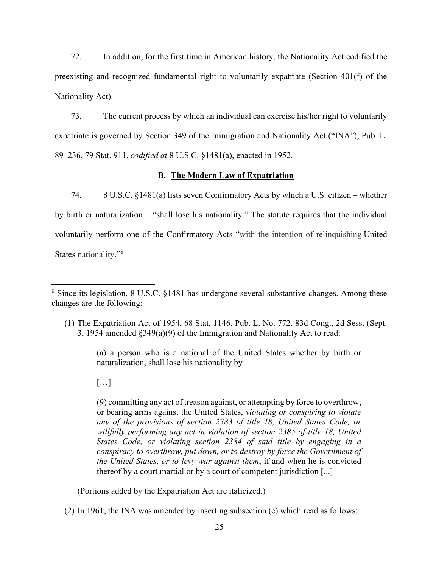72. In addition, for the first time in American history, the Nationality Act codified the preexisting and recognized fundamental right to voluntarily expatriate (Section 401(f) of the Nationality Act).

73. The current process by which an individual can exercise his/her right to voluntarily expatriate is governed by Section 349 of the Immigration and Nationality Act ("INA"), Pub. L. 89–236, 79 Stat. 911, *codified at* 8 U.S.C. §1481(a), enacted in 1952.

# **B. The Modern Law of Expatriation**

74. 8 U.S.C. §1481(a) lists seven Confirmatory Acts by which a U.S. citizen – whether by birth or naturalization – "shall lose his nationality." The statute requires that the individual voluntarily perform one of the Confirmatory Acts "with the intention of relinquishing United States nationality."[8](#page-24-0)

(a) a person who is a national of the United States whether by birth or naturalization, shall lose his nationality by

# $[\ldots]$

(9) committing any act of treason against, or attempting by force to overthrow, or bearing arms against the United States, *violating or conspiring to violate any of the provisions of section 2383 of title 18, United States Code, or willfully performing any act in violation of section 2385 of title 18, United States Code, or violating section 2384 of said title by engaging in a conspiracy to overthrow, put down, or to destroy by force the Government of the United States, or to levy war against them*, if and when he is convicted thereof by a court martial or by a court of competent jurisdiction [...]

(Portions added by the Expatriation Act are italicized.)

<span id="page-24-0"></span><sup>&</sup>lt;sup>8</sup> Since its legislation, 8 U.S.C. §1481 has undergone several substantive changes. Among these changes are the following:

<sup>(1)</sup> The Expatriation Act of 1954, 68 Stat. 1146, Pub. L. No. 772, 83d Cong., 2d Sess. (Sept. 3, 1954 amended §349(a)(9) of the Immigration and Nationality Act to read:

<sup>(2)</sup> In 1961, the INA was amended by inserting subsection (c) which read as follows: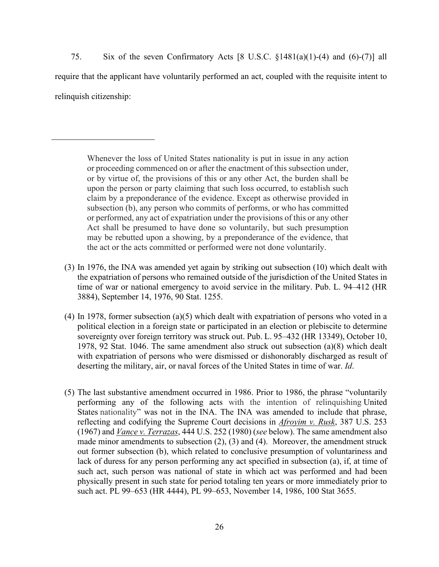75. Six of the seven Confirmatory Acts [8 U.S.C. §1481(a)(1)-(4) and (6)-(7)] all require that the applicant have voluntarily performed an act, coupled with the requisite intent to relinquish citizenship:

Whenever the loss of United States nationality is put in issue in any action or proceeding commenced on or after the enactment of this subsection under, or by virtue of, the provisions of this or any other Act, the burden shall be upon the person or party claiming that such loss occurred, to establish such claim by a preponderance of the evidence. Except as otherwise provided in subsection (b), any person who commits of performs, or who has committed or performed, any act of expatriation under the provisions of this or any other Act shall be presumed to have done so voluntarily, but such presumption may be rebutted upon a showing, by a preponderance of the evidence, that the act or the acts committed or performed were not done voluntarily.

- (3) In 1976, the INA was amended yet again by striking out subsection (10) which dealt with the expatriation of persons who remained outside of the jurisdiction of the United States in time of war or national emergency to avoid service in the military. Pub. L. 94–412 (HR 3884), September 14, 1976, 90 Stat. 1255.
- (4) In 1978, former subsection (a)(5) which dealt with expatriation of persons who voted in a political election in a foreign state or participated in an election or plebiscite to determine sovereignty over foreign territory was struck out. Pub. L. 95–432 (HR 13349), October 10, 1978, 92 Stat. 1046. The same amendment also struck out subsection (a)(8) which dealt with expatriation of persons who were dismissed or dishonorably discharged as result of deserting the military, air, or naval forces of the United States in time of war. *Id*.
- (5) The last substantive amendment occurred in 1986. Prior to 1986, the phrase "voluntarily performing any of the following acts with the intention of relinquishing United States nationality" was not in the INA. The INA was amended to include that phrase, reflecting and codifying the Supreme Court decisions in *Afroyim v. Rusk*, 387 U.S. 253 (1967) and *Vance v. Terrazas*, 444 U.S. 252 (1980) (*see* below). The same amendment also made minor amendments to subsection (2), (3) and (4). Moreover, the amendment struck out former subsection (b), which related to conclusive presumption of voluntariness and lack of duress for any person performing any act specified in subsection (a), if, at time of such act, such person was national of state in which act was performed and had been physically present in such state for period totaling ten years or more immediately prior to such act. PL 99–653 (HR 4444), PL 99–653, November 14, 1986, 100 Stat 3655.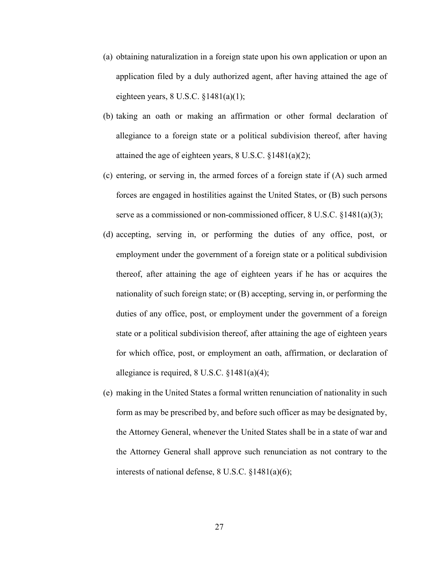- (a) obtaining naturalization in a foreign state upon his own application or upon an application filed by a duly authorized agent, after having attained the age of eighteen years,  $8$  U.S.C.  $$1481(a)(1);$
- (b) taking an oath or making an affirmation or other formal declaration of allegiance to a foreign state or a political subdivision thereof, after having attained the age of eighteen years, 8 U.S.C. §1481(a)(2);
- (c) entering, or serving in, the armed forces of a foreign state if (A) such armed forces are engaged in hostilities against the United States, or (B) such persons serve as a commissioned or non-commissioned officer, 8 U.S.C. §1481(a)(3);
- (d) accepting, serving in, or performing the duties of any office, post, or employment under the government of a foreign state or a political subdivision thereof, after attaining the age of eighteen years if he has or acquires the nationality of such foreign state; or (B) accepting, serving in, or performing the duties of any office, post, or employment under the government of a foreign state or a political subdivision thereof, after attaining the age of eighteen years for which office, post, or employment an oath, affirmation, or declaration of allegiance is required, 8 U.S.C. §1481(a)(4);
- (e) making in the United States a formal written renunciation of nationality in such form as may be prescribed by, and before such officer as may be designated by, the Attorney General, whenever the United States shall be in a state of war and the Attorney General shall approve such renunciation as not contrary to the interests of national defense, 8 U.S.C. §1481(a)(6);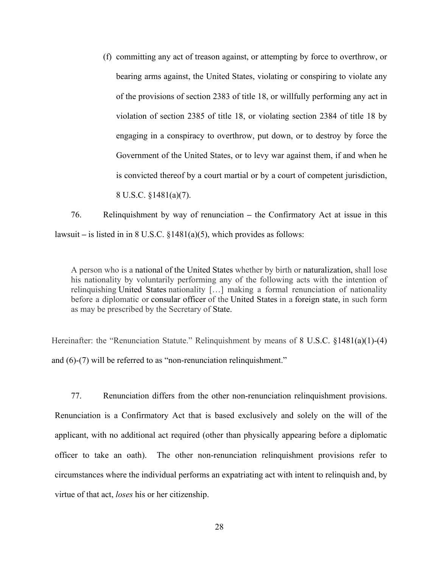(f) committing any act of treason against, or attempting by force to overthrow, or bearing arms against, the United States, violating or conspiring to violate any of the provisions of section 2383 of title 18, or willfully performing any act in violation of section 2385 of title 18, or violating section 2384 of title 18 by engaging in a conspiracy to overthrow, put down, or to destroy by force the Government of the United States, or to levy war against them, if and when he is convicted thereof by a court martial or by a court of competent jurisdiction, 8 U.S.C. §1481(a)(7).

76. Relinquishment by way of renunciation **–** the Confirmatory Act at issue in this lawsuit **–** is listed in in 8 U.S.C. §1481(a)(5), which provides as follows:

A person who is a national of the United States whether by birth or naturalization, shall lose his nationality by voluntarily performing any of the following acts with the intention of relinquishing United States nationality […] making a formal renunciation of nationality before a diplomatic or consular officer of the United States in a foreign state, in such form as may be prescribed by the Secretary of State.

Hereinafter: the "Renunciation Statute." Relinquishment by means of 8 U.S.C. §1481(a)(1)-(4) and (6)-(7) will be referred to as "non-renunciation relinquishment."

77. Renunciation differs from the other non-renunciation relinquishment provisions. Renunciation is a Confirmatory Act that is based exclusively and solely on the will of the applicant, with no additional act required (other than physically appearing before a diplomatic officer to take an oath). The other non-renunciation relinquishment provisions refer to circumstances where the individual performs an expatriating act with intent to relinquish and, by virtue of that act, *loses* his or her citizenship.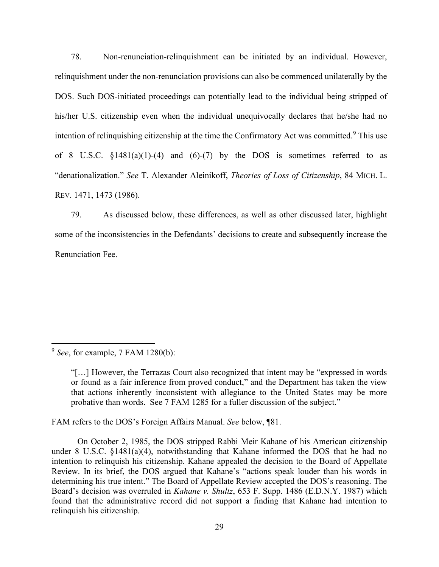78. Non-renunciation-relinquishment can be initiated by an individual. However, relinquishment under the non-renunciation provisions can also be commenced unilaterally by the DOS. Such DOS-initiated proceedings can potentially lead to the individual being stripped of his/her U.S. citizenship even when the individual unequivocally declares that he/she had no intention of relinquishing citizenship at the time the Confirmatory Act was committed.<sup>[9](#page-28-0)</sup> This use of 8 U.S.C.  $\S 1481(a)(1)-(4)$  and  $(6)-(7)$  by the DOS is sometimes referred to as "denationalization." *See* T. Alexander Aleinikoff, *Theories of Loss of Citizenship*, 84 MICH. L. REV. 1471, 1473 (1986).

79. As discussed below, these differences, as well as other discussed later, highlight some of the inconsistencies in the Defendants' decisions to create and subsequently increase the Renunciation Fee.

FAM refers to the DOS's Foreign Affairs Manual. *See* below, ¶81.

On October 2, 1985, the DOS stripped Rabbi Meir Kahane of his American citizenship under 8 U.S.C. §1481(a)(4), notwithstanding that Kahane informed the DOS that he had no intention to relinquish his citizenship. Kahane appealed the decision to the Board of Appellate Review. In its brief, the DOS argued that Kahane's "actions speak louder than his words in determining his true intent." The Board of Appellate Review accepted the DOS's reasoning. The Board's decision was overruled in *Kahane v. Shultz*, 653 F. Supp. 1486 (E.D.N.Y. 1987) which found that the administrative record did not support a finding that Kahane had intention to relinquish his citizenship.

<span id="page-28-0"></span><sup>9</sup> *See*, for example, 7 FAM 1280(b):

<sup>&</sup>quot;[…] However, the Terrazas Court also recognized that intent may be "expressed in words or found as a fair inference from proved conduct," and the Department has taken the view that actions inherently inconsistent with allegiance to the United States may be more probative than words. See 7 FAM 1285 for a fuller discussion of the subject."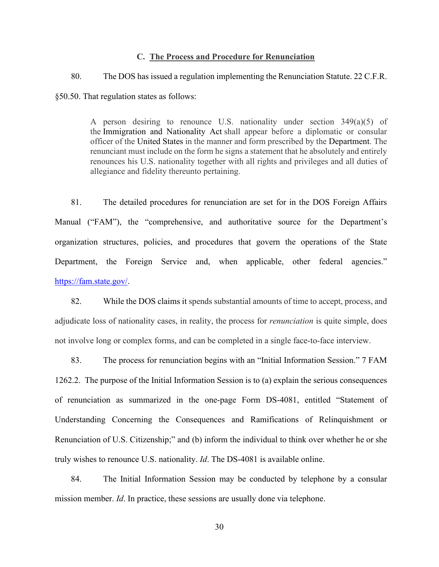# **C. The Process and Procedure for Renunciation**

80. The DOS has issued a regulation implementing the Renunciation Statute. 22 C.F.R. §50.50. That regulation states as follows:

> A person desiring to renounce U.S. nationality under section 349(a)(5) of the Immigration and Nationality Act shall appear before a diplomatic or consular officer of the United States in the manner and form prescribed by the Department. The renunciant must include on the form he signs a statement that he absolutely and entirely renounces his U.S. nationality together with all rights and privileges and all duties of allegiance and fidelity thereunto pertaining.

81. The detailed procedures for renunciation are set for in the DOS Foreign Affairs Manual ("FAM"), the "comprehensive, and authoritative source for the Department's organization structures, policies, and procedures that govern the operations of the State Department, the Foreign Service and, when applicable, other federal agencies." [https://fam.state.gov/.](https://fam.state.gov/)

82. While the DOS claims it spends substantial amounts of time to accept, process, and adjudicate loss of nationality cases, in reality, the process for *renunciation* is quite simple, does not involve long or complex forms, and can be completed in a single face-to-face interview.

83. The process for renunciation begins with an "Initial Information Session." 7 FAM 1262.2. The purpose of the Initial Information Session is to (a) explain the serious consequences of renunciation as summarized in the one-page Form DS-4081, entitled "Statement of Understanding Concerning the Consequences and Ramifications of Relinquishment or Renunciation of U.S. Citizenship;" and (b) inform the individual to think over whether he or she truly wishes to renounce U.S. nationality. *Id*. The DS-4081 is available online.

84. The Initial Information Session may be conducted by telephone by a consular mission member. *Id*. In practice, these sessions are usually done via telephone.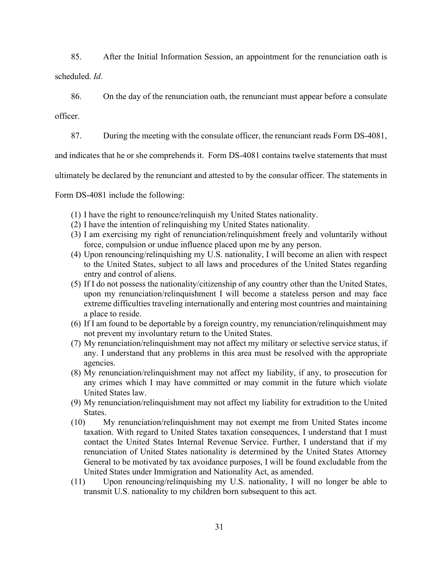85. After the Initial Information Session, an appointment for the renunciation oath is

scheduled. *Id*.

86. On the day of the renunciation oath, the renunciant must appear before a consulate

officer.

87. During the meeting with the consulate officer, the renunciant reads Form DS-4081,

and indicates that he or she comprehends it. Form DS-4081 contains twelve statements that must

ultimately be declared by the renunciant and attested to by the consular officer. The statements in

Form DS-4081 include the following:

- (1) I have the right to renounce/relinquish my United States nationality.
- (2) I have the intention of relinquishing my United States nationality.
- (3) I am exercising my right of renunciation/relinquishment freely and voluntarily without force, compulsion or undue influence placed upon me by any person.
- (4) Upon renouncing/relinquishing my U.S. nationality, I will become an alien with respect to the United States, subject to all laws and procedures of the United States regarding entry and control of aliens.
- (5) If I do not possess the nationality/citizenship of any country other than the United States, upon my renunciation/relinquishment I will become a stateless person and may face extreme difficulties traveling internationally and entering most countries and maintaining a place to reside.
- (6) If I am found to be deportable by a foreign country, my renunciation/relinquishment may not prevent my involuntary return to the United States.
- (7) My renunciation/relinquishment may not affect my military or selective service status, if any. I understand that any problems in this area must be resolved with the appropriate agencies.
- (8) My renunciation/relinquishment may not affect my liability, if any, to prosecution for any crimes which I may have committed or may commit in the future which violate United States law.
- (9) My renunciation/relinquishment may not affect my liability for extradition to the United States.
- (10) My renunciation/relinquishment may not exempt me from United States income taxation. With regard to United States taxation consequences, I understand that I must contact the United States Internal Revenue Service. Further, I understand that if my renunciation of United States nationality is determined by the United States Attorney General to be motivated by tax avoidance purposes, I will be found excludable from the United States under Immigration and Nationality Act, as amended.
- (11) Upon renouncing/relinquishing my U.S. nationality, I will no longer be able to transmit U.S. nationality to my children born subsequent to this act.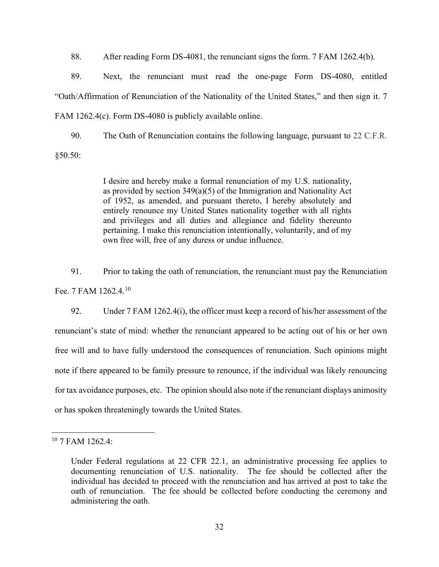88. After reading Form DS-4081, the renunciant signs the form. 7 FAM 1262.4(b).

89. Next, the renunciant must read the one-page Form DS-4080, entitled "Oath/Affirmation of Renunciation of the Nationality of the United States," and then sign it. 7 FAM 1262.4(c). Form DS-4080 is publicly available online.

90. The Oath of Renunciation contains the following language, pursuant to 22 C.F.R.

§50.50:

I desire and hereby make a formal renunciation of my U.S. nationality, as provided by section 349(a)(5) of the Immigration and Nationality Act of 1952, as amended, and pursuant thereto, I hereby absolutely and entirely renounce my United States nationality together with all rights and privileges and all duties and allegiance and fidelity thereunto pertaining. I make this renunciation intentionally, voluntarily, and of my own free will, free of any duress or undue influence.

91. Prior to taking the oath of renunciation, the renunciant must pay the Renunciation Fee. 7 FAM 1262.4.<sup>[10](#page-31-0)</sup>

92. Under 7 FAM 1262.4(i), the officer must keep a record of his/her assessment of the renunciant's state of mind: whether the renunciant appeared to be acting out of his or her own free will and to have fully understood the consequences of renunciation. Such opinions might note if there appeared to be family pressure to renounce, if the individual was likely renouncing for tax avoidance purposes, etc. The opinion should also note if the renunciant displays animosity or has spoken threateningly towards the United States.

<span id="page-31-0"></span><sup>10</sup> 7 FAM 1262.4:

Under Federal regulations at 22 CFR 22.1, an administrative processing fee applies to documenting renunciation of U.S. nationality. The fee should be collected after the individual has decided to proceed with the renunciation and has arrived at post to take the oath of renunciation. The fee should be collected before conducting the ceremony and administering the oath.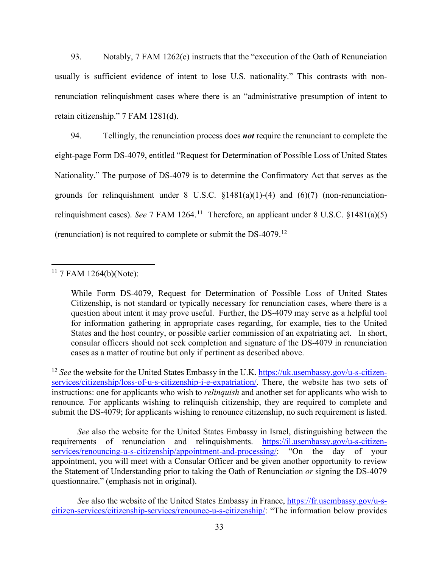93. Notably, 7 FAM 1262(e) instructs that the "execution of the Oath of Renunciation usually is sufficient evidence of intent to lose U.S. nationality." This contrasts with nonrenunciation relinquishment cases where there is an "administrative presumption of intent to retain citizenship." 7 FAM 1281(d).

94. Tellingly, the renunciation process does *not* require the renunciant to complete the eight-page Form DS-4079, entitled "Request for Determination of Possible Loss of United States Nationality." The purpose of DS-4079 is to determine the Confirmatory Act that serves as the grounds for relinquishment under  $8 \text{ U.S.C. } \S 1481(a)(1)-(4)$  and  $(6)(7)$  (non-renunciationrelinguishment cases). *See* 7 FAM 1264.<sup>[11](#page-32-0)</sup> Therefore, an applicant under 8 U.S.C.  $\{1481(a)(5)$ (renunciation) is not required to complete or submit the DS-4079.<sup>[12](#page-32-1)</sup>

<span id="page-32-1"></span><sup>12</sup> See the website for the United States Embassy in the U.K[. https://uk.usembassy.gov/u-s-citizen](https://uk.usembassy.gov/u-s-citizen-services/citizenship/loss-of-u-s-citizenship-i-e-expatriation/)[services/citizenship/loss-of-u-s-citizenship-i-e-expatriation/.](https://uk.usembassy.gov/u-s-citizen-services/citizenship/loss-of-u-s-citizenship-i-e-expatriation/) There, the website has two sets of instructions: one for applicants who wish to *relinquish* and another set for applicants who wish to renounce*.* For applicants wishing to relinquish citizenship, they are required to complete and submit the DS-4079; for applicants wishing to renounce citizenship, no such requirement is listed.

*See* also the website for the United States Embassy in Israel, distinguishing between the requirements of renunciation and relinquishments. [https://il.usembassy.gov/u-s-citizen](https://il.usembassy.gov/u-s-citizen-services/renouncing-u-s-citizenship/appointment-and-processing/)[services/renouncing-u-s-citizenship/appointment-and-processing/:](https://il.usembassy.gov/u-s-citizen-services/renouncing-u-s-citizenship/appointment-and-processing/) "On the day of your appointment, you will meet with a Consular Officer and be given another opportunity to review the Statement of Understanding prior to taking the Oath of Renunciation *or* signing the DS-4079 questionnaire." (emphasis not in original).

*See* also the website of the United States Embassy in France, [https://fr.usembassy.gov/u-s](https://fr.usembassy.gov/u-s-citizen-services/citizenship-services/renounce-u-s-citizenship/)[citizen-services/citizenship-services/renounce-u-s-citizenship/:](https://fr.usembassy.gov/u-s-citizen-services/citizenship-services/renounce-u-s-citizenship/) "The information below provides

<span id="page-32-0"></span> $11$  7 FAM 1264(b)(Note):

While Form DS-4079, Request for Determination of Possible Loss of United States Citizenship, is not standard or typically necessary for renunciation cases, where there is a question about intent it may prove useful. Further, the DS-4079 may serve as a helpful tool for information gathering in appropriate cases regarding, for example, ties to the United States and the host country, or possible earlier commission of an expatriating act. In short, consular officers should not seek completion and signature of the DS-4079 in renunciation cases as a matter of routine but only if pertinent as described above.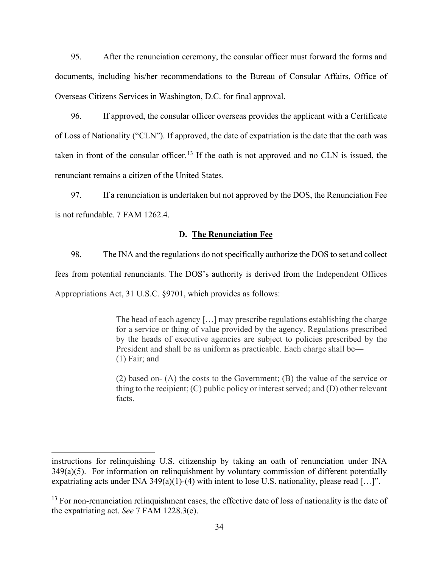95. After the renunciation ceremony, the consular officer must forward the forms and documents, including his/her recommendations to the Bureau of Consular Affairs, Office of Overseas Citizens Services in Washington, D.C. for final approval.

96. If approved, the consular officer overseas provides the applicant with a Certificate of Loss of Nationality ("CLN"). If approved, the date of expatriation is the date that the oath was taken in front of the consular officer.<sup>[13](#page-33-0)</sup> If the oath is not approved and no CLN is issued, the renunciant remains a citizen of the United States.

97. If a renunciation is undertaken but not approved by the DOS, the Renunciation Fee is not refundable. 7 FAM 1262.4.

# **D. The Renunciation Fee**

98. The INA and the regulations do not specifically authorize the DOS to set and collect fees from potential renunciants. The DOS's authority is derived from the Independent Offices Appropriations Act, 31 U.S.C. §9701, which provides as follows:

> The head of each agency […] may prescribe regulations establishing the charge for a service or thing of value provided by the agency. Regulations prescribed by the heads of executive agencies are subject to policies prescribed by the President and shall be as uniform as practicable. Each charge shall be— (1) Fair; and

> (2) based on- (A) the costs to the Government; (B) the value of the service or thing to the recipient; (C) public policy or interest served; and (D) other relevant facts.

instructions for relinquishing U.S. citizenship by taking an oath of renunciation under INA  $349(a)(5)$ . For information on relinguishment by voluntary commission of different potentially expatriating acts under INA 349(a)(1)-(4) with intent to lose U.S. nationality, please read [...]".

<span id="page-33-0"></span><sup>&</sup>lt;sup>13</sup> For non-renunciation relinquishment cases, the effective date of loss of nationality is the date of the expatriating act. *See* 7 FAM 1228.3(e).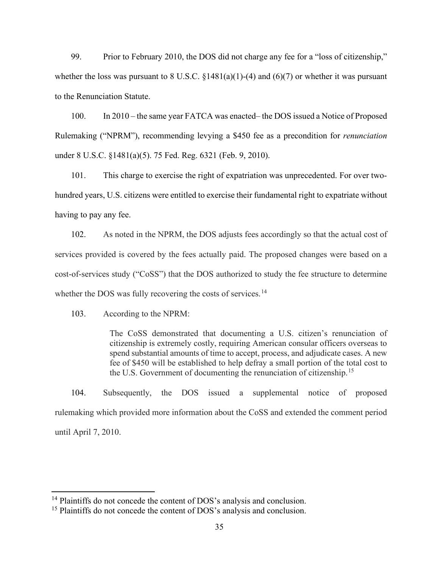99. Prior to February 2010, the DOS did not charge any fee for a "loss of citizenship," whether the loss was pursuant to 8 U.S.C.  $\S 1481(a)(1)-(4)$  and  $(6)(7)$  or whether it was pursuant to the Renunciation Statute.

100. In 2010 – the same year FATCA was enacted– the DOS issued a Notice of Proposed Rulemaking ("NPRM"), recommending levying a \$450 fee as a precondition for *renunciation* under 8 U.S.C. §1481(a)(5). 75 Fed. Reg. 6321 (Feb. 9, 2010).

101. This charge to exercise the right of expatriation was unprecedented. For over twohundred years, U.S. citizens were entitled to exercise their fundamental right to expatriate without having to pay any fee.

102. As noted in the NPRM, the DOS adjusts fees accordingly so that the actual cost of services provided is covered by the fees actually paid. The proposed changes were based on a cost-of-services study ("CoSS") that the DOS authorized to study the fee structure to determine whether the DOS was fully recovering the costs of services.<sup>[14](#page-34-0)</sup>

103. According to the NPRM:

The CoSS demonstrated that documenting a U.S. citizen's renunciation of citizenship is extremely costly, requiring American consular officers overseas to spend substantial amounts of time to accept, process, and adjudicate cases. A new fee of \$450 will be established to help defray a small portion of the total cost to the U.S. Government of documenting the renunciation of citizenship.<sup>[15](#page-34-1)</sup>

104. Subsequently, the DOS issued a supplemental notice of proposed rulemaking which provided more information about the CoSS and extended the comment period until April 7, 2010.

<span id="page-34-0"></span><sup>&</sup>lt;sup>14</sup> Plaintiffs do not concede the content of DOS's analysis and conclusion.

<span id="page-34-1"></span><sup>&</sup>lt;sup>15</sup> Plaintiffs do not concede the content of DOS's analysis and conclusion.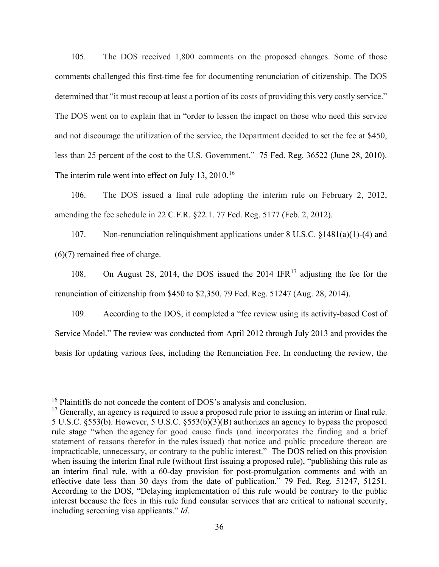105. The DOS received 1,800 comments on the proposed changes. Some of those comments challenged this first-time fee for documenting renunciation of citizenship. The DOS determined that "it must recoup at least a portion of its costs of providing this very costly service." The DOS went on to explain that in "order to lessen the impact on those who need this service and not discourage the utilization of the service, the Department decided to set the fee at \$450, less than 25 percent of the cost to the U.S. Government." 75 Fed. Reg. 36522 (June 28, 2010). The interim rule went into effect on July 13,  $2010$ .<sup>[16](#page-35-0)</sup>

106. The DOS issued a final rule adopting the interim rule on February 2, 2012, amending the fee schedule in 22 C.F.R. §22.1. 77 Fed. Reg. 5177 (Feb. 2, 2012).

107. Non-renunciation relinquishment applications under 8 U.S.C. §1481(a)(1)-(4) and (6)(7) remained free of charge.

108. On August 28, 2014, the DOS issued the 2014 IFR $^{17}$  $^{17}$  $^{17}$  adjusting the fee for the renunciation of citizenship from \$450 to \$2,350. 79 Fed. Reg. 51247 (Aug. 28, 2014).

109. According to the DOS, it completed a "fee review using its activity-based Cost of Service Model." The review was conducted from April 2012 through July 2013 and provides the basis for updating various fees, including the Renunciation Fee. In conducting the review, the

<sup>&</sup>lt;sup>16</sup> Plaintiffs do not concede the content of DOS's analysis and conclusion.

<span id="page-35-1"></span><span id="page-35-0"></span> $17$  Generally, an agency is required to issue a proposed rule prior to issuing an interim or final rule. 5 U.S.C. §553(b). However, 5 U.S.C. §553(b)(3)(B) authorizes an agency to bypass the proposed rule stage "when the agency for good cause finds (and incorporates the finding and a brief statement of reasons therefor in the rules issued) that notice and public procedure thereon are impracticable, unnecessary, or contrary to the public interest." The DOS relied on this provision when issuing the interim final rule (without first issuing a proposed rule), "publishing this rule as an interim final rule, with a 60-day provision for post-promulgation comments and with an effective date less than 30 days from the date of publication." 79 Fed. Reg. 51247, 51251. According to the DOS, "Delaying implementation of this rule would be contrary to the public interest because the fees in this rule fund consular services that are critical to national security, including screening visa applicants." *Id*.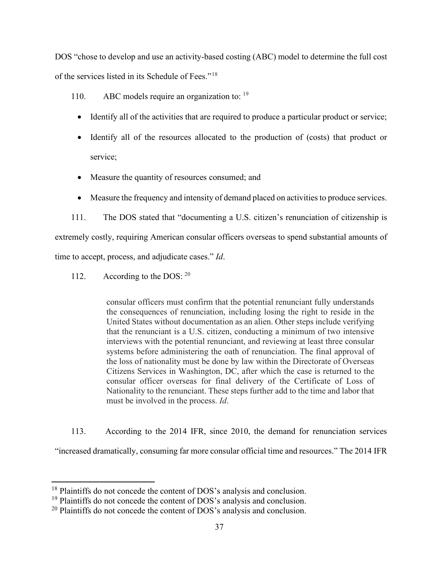DOS "chose to develop and use an activity-based costing (ABC) model to determine the full cost of the services listed in its Schedule of Fees."[18](#page-36-0)

110. ABC models require an organization to: <sup>[19](#page-36-1)</sup>

- Identify all of the activities that are required to produce a particular product or service;
- Identify all of the resources allocated to the production of (costs) that product or service;
- Measure the quantity of resources consumed; and
- Measure the frequency and intensity of demand placed on activities to produce services.

111. The DOS stated that "documenting a U.S. citizen's renunciation of citizenship is extremely costly, requiring American consular officers overseas to spend substantial amounts of time to accept, process, and adjudicate cases." *Id*.

112. According to the DOS:  $20$ 

consular officers must confirm that the potential renunciant fully understands the consequences of renunciation, including losing the right to reside in the United States without documentation as an alien. Other steps include verifying that the renunciant is a U.S. citizen, conducting a minimum of two intensive interviews with the potential renunciant, and reviewing at least three consular systems before administering the oath of renunciation. The final approval of the loss of nationality must be done by law within the Directorate of Overseas Citizens Services in Washington, DC, after which the case is returned to the consular officer overseas for final delivery of the Certificate of Loss of Nationality to the renunciant. These steps further add to the time and labor that must be involved in the process. *Id*.

113. According to the 2014 IFR, since 2010, the demand for renunciation services "increased dramatically, consuming far more consular official time and resources." The 2014 IFR

<span id="page-36-0"></span><sup>&</sup>lt;sup>18</sup> Plaintiffs do not concede the content of DOS's analysis and conclusion. <sup>19</sup> Plaintiffs do not concede the content of DOS's analysis and conclusion.

<span id="page-36-2"></span><span id="page-36-1"></span> $20$  Plaintiffs do not concede the content of DOS's analysis and conclusion.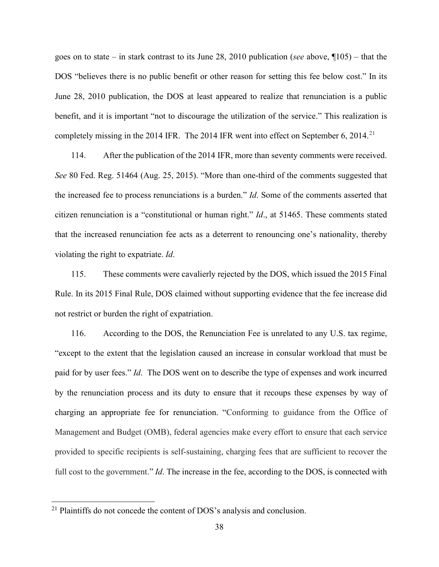goes on to state – in stark contrast to its June 28, 2010 publication (*see* above, ¶105) – that the DOS "believes there is no public benefit or other reason for setting this fee below cost." In its June 28, 2010 publication, the DOS at least appeared to realize that renunciation is a public benefit, and it is important "not to discourage the utilization of the service." This realization is completely missing in the 2014 IFR. The 2014 IFR went into effect on September 6, 2014.<sup>[21](#page-37-0)</sup>

114. After the publication of the 2014 IFR, more than seventy comments were received. *See* 80 Fed. Reg. 51464 (Aug. 25, 2015). "More than one-third of the comments suggested that the increased fee to process renunciations is a burden." *Id*. Some of the comments asserted that citizen renunciation is a "constitutional or human right." *Id*., at 51465. These comments stated that the increased renunciation fee acts as a deterrent to renouncing one's nationality, thereby violating the right to expatriate. *Id*.

115. These comments were cavalierly rejected by the DOS, which issued the 2015 Final Rule. In its 2015 Final Rule, DOS claimed without supporting evidence that the fee increase did not restrict or burden the right of expatriation.

116. According to the DOS, the Renunciation Fee is unrelated to any U.S. tax regime, "except to the extent that the legislation caused an increase in consular workload that must be paid for by user fees." *Id*. The DOS went on to describe the type of expenses and work incurred by the renunciation process and its duty to ensure that it recoups these expenses by way of charging an appropriate fee for renunciation. "Conforming to guidance from the Office of Management and Budget (OMB), federal agencies make every effort to ensure that each service provided to specific recipients is self-sustaining, charging fees that are sufficient to recover the full cost to the government." *Id*. The increase in the fee, according to the DOS, is connected with

<span id="page-37-0"></span><sup>&</sup>lt;sup>21</sup> Plaintiffs do not concede the content of DOS's analysis and conclusion.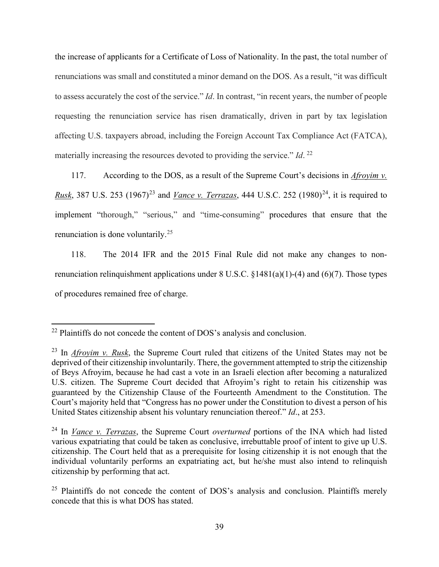the increase of applicants for a Certificate of Loss of Nationality. In the past, the total number of renunciations was small and constituted a minor demand on the DOS. As a result, "it was difficult to assess accurately the cost of the service." *Id*. In contrast, "in recent years, the number of people requesting the renunciation service has risen dramatically, driven in part by tax legislation affecting U.S. taxpayers abroad, including the Foreign Account Tax Compliance Act (FATCA), materially increasing the resources devoted to providing the service." *Id*. [22](#page-38-0)

117. According to the DOS, as a result of the Supreme Court's decisions in *Afroyim v. Rusk*, 387 U.S. 253 (1967)<sup>[23](#page-38-1)</sup> and *Vance v. Terrazas*, 444 U.S.C. 252 (1980)<sup>24</sup>, it is required to implement "thorough," "serious," and "time-consuming" procedures that ensure that the renunciation is done voluntarily.[25](#page-38-3)

118. The 2014 IFR and the 2015 Final Rule did not make any changes to nonrenunciation relinquishment applications under 8 U.S.C. §1481(a)(1)-(4) and (6)(7). Those types of procedures remained free of charge.

<span id="page-38-0"></span><sup>&</sup>lt;sup>22</sup> Plaintiffs do not concede the content of DOS's analysis and conclusion.

<span id="page-38-1"></span><sup>23</sup> In *Afroyim v. Rusk*, the Supreme Court ruled that citizens of the United States may not be deprived of their citizenship involuntarily. There, the government attempted to strip the citizenship of Beys Afroyim, because he had cast a vote in an Israeli election after becoming a naturalized U.S. citizen. The Supreme Court decided that Afroyim's right to retain his citizenship was guaranteed by the Citizenship Clause of the Fourteenth Amendment to the Constitution. The Court's majority held that "Congress has no power under the Constitution to divest a person of his United States citizenship absent his voluntary renunciation thereof." *Id*., at 253.

<span id="page-38-2"></span><sup>24</sup> In *Vance v. Terrazas*, the Supreme Court *overturned* portions of the INA which had listed various expatriating that could be taken as conclusive, irrebuttable proof of intent to give up U.S. citizenship. The Court held that as a prerequisite for losing citizenship it is not enough that the individual voluntarily performs an expatriating act, but he/she must also intend to relinquish citizenship by performing that act.

<span id="page-38-3"></span> $25$  Plaintiffs do not concede the content of DOS's analysis and conclusion. Plaintiffs merely concede that this is what DOS has stated.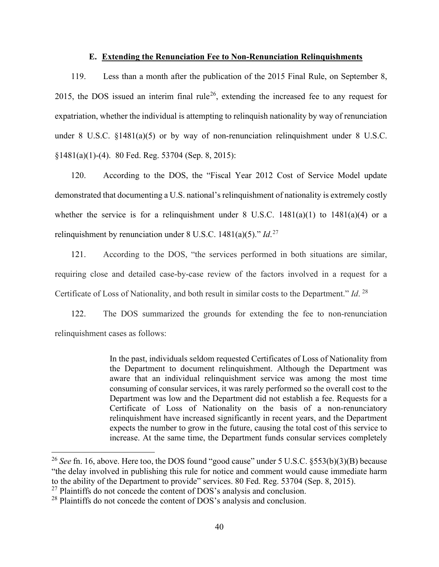### **E. Extending the Renunciation Fee to Non-Renunciation Relinquishments**

119. Less than a month after the publication of the 2015 Final Rule, on September 8, 2015, the DOS issued an interim final rule<sup>[26](#page-39-0)</sup>, extending the increased fee to any request for expatriation, whether the individual is attempting to relinquish nationality by way of renunciation under 8 U.S.C. §1481(a)(5) or by way of non-renunciation relinquishment under 8 U.S.C. §1481(a)(1)-(4). 80 Fed. Reg. 53704 (Sep. 8, 2015):

120. According to the DOS, the "Fiscal Year 2012 Cost of Service Model update demonstrated that documenting a U.S. national's relinquishment of nationality is extremely costly whether the service is for a relinquishment under  $8 \text{ U.S.C. } 1481(a)(1)$  to  $1481(a)(4)$  or a relinquishment by renunciation under 8 U.S.C. 1481(a)(5)." *Id*. [27](#page-39-1)

121. According to the DOS, "the services performed in both situations are similar, requiring close and detailed case-by-case review of the factors involved in a request for a Certificate of Loss of Nationality, and both result in similar costs to the Department." *Id*. [28](#page-39-2)

122. The DOS summarized the grounds for extending the fee to non-renunciation relinquishment cases as follows:

> In the past, individuals seldom requested Certificates of Loss of Nationality from the Department to document relinquishment. Although the Department was aware that an individual relinquishment service was among the most time consuming of consular services, it was rarely performed so the overall cost to the Department was low and the Department did not establish a fee. Requests for a Certificate of Loss of Nationality on the basis of a non-renunciatory relinquishment have increased significantly in recent years, and the Department expects the number to grow in the future, causing the total cost of this service to increase. At the same time, the Department funds consular services completely

<span id="page-39-0"></span><sup>&</sup>lt;sup>26</sup> *See* fn. 16, above. Here too, the DOS found "good cause" under 5 U.S.C. §553(b)(3)(B) because "the delay involved in publishing this rule for notice and comment would cause immediate harm to the ability of the Department to provide" services. 80 Fed. Reg. 53704 (Sep. 8, 2015).

<span id="page-39-1"></span> $^{27}$  Plaintiffs do not concede the content of DOS's analysis and conclusion.

<span id="page-39-2"></span><sup>&</sup>lt;sup>28</sup> Plaintiffs do not concede the content of DOS's analysis and conclusion.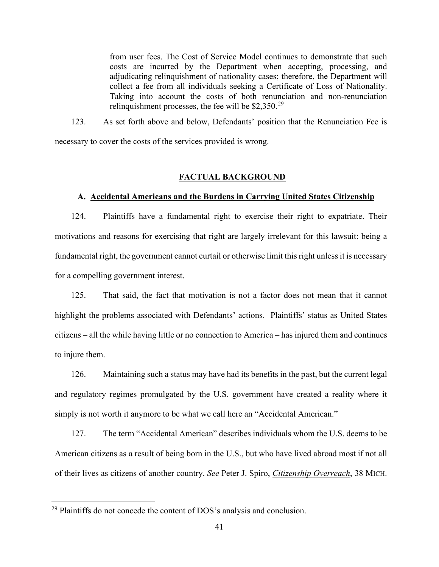from user fees. The Cost of Service Model continues to demonstrate that such costs are incurred by the Department when accepting, processing, and adjudicating relinquishment of nationality cases; therefore, the Department will collect a fee from all individuals seeking a Certificate of Loss of Nationality. Taking into account the costs of both renunciation and non-renunciation relinquishment processes, the fee will be  $$2,350.<sup>29</sup>$  $$2,350.<sup>29</sup>$  $$2,350.<sup>29</sup>$ 

123. As set forth above and below, Defendants' position that the Renunciation Fee is necessary to cover the costs of the services provided is wrong.

# **FACTUAL BACKGROUND**

### **A. Accidental Americans and the Burdens in Carrying United States Citizenship**

124. Plaintiffs have a fundamental right to exercise their right to expatriate. Their motivations and reasons for exercising that right are largely irrelevant for this lawsuit: being a fundamental right, the government cannot curtail or otherwise limit this right unless it is necessary for a compelling government interest.

125. That said, the fact that motivation is not a factor does not mean that it cannot highlight the problems associated with Defendants' actions. Plaintiffs' status as United States citizens – all the while having little or no connection to America – has injured them and continues to injure them.

126. Maintaining such a status may have had its benefits in the past, but the current legal and regulatory regimes promulgated by the U.S. government have created a reality where it simply is not worth it anymore to be what we call here an "Accidental American."

127. The term "Accidental American" describes individuals whom the U.S. deems to be American citizens as a result of being born in the U.S., but who have lived abroad most if not all of their lives as citizens of another country. *See* Peter J. Spiro, *Citizenship Overreach*, 38 MICH.

<span id="page-40-0"></span> $29$  Plaintiffs do not concede the content of DOS's analysis and conclusion.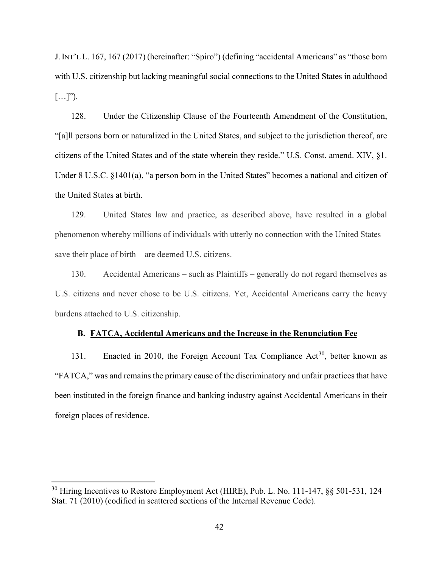J.INT'L L. 167, 167 (2017) (hereinafter: "Spiro") (defining "accidental Americans" as "those born with U.S. citizenship but lacking meaningful social connections to the United States in adulthood  $[\ldots]$ ").

128. Under the Citizenship Clause of the Fourteenth Amendment of the Constitution, "[a]ll persons born or naturalized in the United States, and subject to the jurisdiction thereof, are citizens of the United States and of the state wherein they reside." U.S. Const. amend. XIV, §1. Under 8 U.S.C. §1401(a), "a person born in the United States" becomes a national and citizen of the United States at birth.

129. United States law and practice, as described above, have resulted in a global phenomenon whereby millions of individuals with utterly no connection with the United States – save their place of birth – are deemed U.S. citizens.

130. Accidental Americans – such as Plaintiffs – generally do not regard themselves as U.S. citizens and never chose to be U.S. citizens. Yet, Accidental Americans carry the heavy burdens attached to U.S. citizenship.

## **B. FATCA, Accidental Americans and the Increase in the Renunciation Fee**

131. Enacted in 2010, the Foreign Account Tax Compliance  $Act^{30}$ , better known as "FATCA," was and remains the primary cause of the discriminatory and unfair practices that have been instituted in the foreign finance and banking industry against Accidental Americans in their foreign places of residence.

<span id="page-41-0"></span> $30$  Hiring Incentives to Restore Employment Act (HIRE), Pub. L. No. 111-147,  $\S$ § 501-531, 124 Stat. 71 (2010) (codified in scattered sections of the Internal Revenue Code).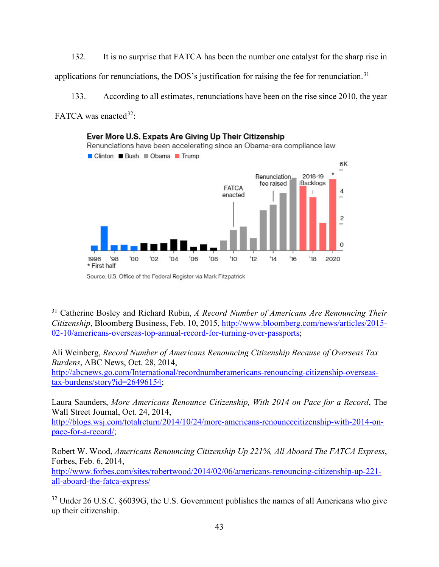132. It is no surprise that FATCA has been the number one catalyst for the sharp rise in applications for renunciations, the DOS's justification for raising the fee for renunciation.<sup>[31](#page-42-0)</sup>

133. According to all estimates, renunciations have been on the rise since 2010, the year FATCA was enacted  $32$ :



Source: U.S. Office of the Federal Register via Mark Fitzpatrick

[http://abcnews.go.com/International/recordnumberamericans-renouncing-citizenship-overseas](http://abcnews.go.com/International/recordnumberamericans-renouncing-citizenship-overseas-tax-burdens/story?id=26496154)[tax-burdens/story?id=26496154;](http://abcnews.go.com/International/recordnumberamericans-renouncing-citizenship-overseas-tax-burdens/story?id=26496154)

Laura Saunders, *More Americans Renounce Citizenship, With 2014 on Pace for a Record*, The Wall Street Journal, Oct. 24, 2014,

[http://blogs.wsj.com/totalreturn/2014/10/24/more-americans-renouncecitizenship-with-2014-on](http://blogs.wsj.com/totalreturn/2014/10/24/more-americans-renouncecitizenship-with-2014-on-pace-for-a-record/)[pace-for-a-record/;](http://blogs.wsj.com/totalreturn/2014/10/24/more-americans-renouncecitizenship-with-2014-on-pace-for-a-record/)

Robert W. Wood, *Americans Renouncing Citizenship Up 221%, All Aboard The FATCA Express*, Forbes, Feb. 6, 2014,

[http://www.forbes.com/sites/robertwood/2014/02/06/americans-renouncing-citizenship-up-221](http://www.forbes.com/sites/robertwood/2014/02/06/americans-renouncing-citizenship-up-221-all-aboard-the-fatca-express/) [all-aboard-the-fatca-express/](http://www.forbes.com/sites/robertwood/2014/02/06/americans-renouncing-citizenship-up-221-all-aboard-the-fatca-express/) 

<span id="page-42-1"></span><sup>32</sup> Under 26 U.S.C. §6039G, the U.S. Government publishes the names of all Americans who give up their citizenship.

<span id="page-42-0"></span><sup>31</sup> Catherine Bosley and Richard Rubin, *A Record Number of Americans Are Renouncing Their Citizenship*, Bloomberg Business, Feb. 10, 2015, [http://www.bloomberg.com/news/articles/2015-](http://www.bloomberg.com/news/articles/2015-02-10/americans-overseas-top-annual-record-for-turning-over-passports) [02-10/americans-overseas-top-annual-record-for-turning-over-passports;](http://www.bloomberg.com/news/articles/2015-02-10/americans-overseas-top-annual-record-for-turning-over-passports)

Ali Weinberg, *Record Number of Americans Renouncing Citizenship Because of Overseas Tax Burdens*, ABC News, Oct. 28, 2014,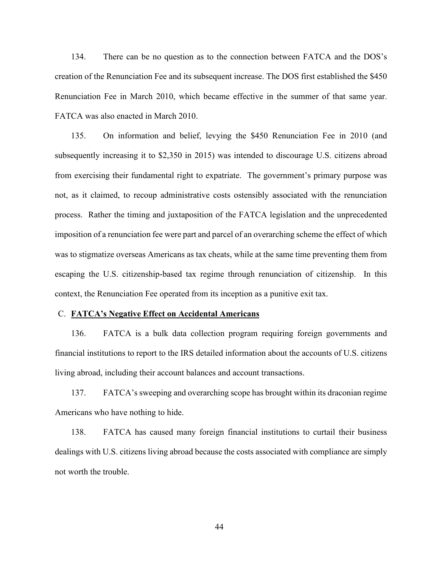134. There can be no question as to the connection between FATCA and the DOS's creation of the Renunciation Fee and its subsequent increase. The DOS first established the \$450 Renunciation Fee in March 2010, which became effective in the summer of that same year. FATCA was also enacted in March 2010.

135. On information and belief, levying the \$450 Renunciation Fee in 2010 (and subsequently increasing it to \$2,350 in 2015) was intended to discourage U.S. citizens abroad from exercising their fundamental right to expatriate. The government's primary purpose was not, as it claimed, to recoup administrative costs ostensibly associated with the renunciation process. Rather the timing and juxtaposition of the FATCA legislation and the unprecedented imposition of a renunciation fee were part and parcel of an overarching scheme the effect of which was to stigmatize overseas Americans as tax cheats, while at the same time preventing them from escaping the U.S. citizenship-based tax regime through renunciation of citizenship. In this context, the Renunciation Fee operated from its inception as a punitive exit tax.

#### C. **FATCA's Negative Effect on Accidental Americans**

136. FATCA is a bulk data collection program requiring foreign governments and financial institutions to report to the IRS detailed information about the accounts of U.S. citizens living abroad, including their account balances and account transactions.

137. FATCA's sweeping and overarching scope has brought within its draconian regime Americans who have nothing to hide.

138. FATCA has caused many foreign financial institutions to curtail their business dealings with U.S. citizens living abroad because the costs associated with compliance are simply not worth the trouble.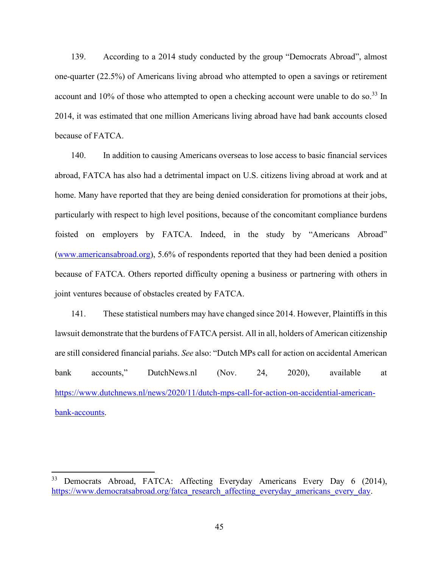139. According to a 2014 study conducted by the group "Democrats Abroad", almost one-quarter (22.5%) of Americans living abroad who attempted to open a savings or retirement account and  $10\%$  of those who attempted to open a checking account were unable to do so.<sup>[33](#page-44-0)</sup> In 2014, it was estimated that one million Americans living abroad have had bank accounts closed because of FATCA.

140. In addition to causing Americans overseas to lose access to basic financial services abroad, FATCA has also had a detrimental impact on U.S. citizens living abroad at work and at home. Many have reported that they are being denied consideration for promotions at their jobs, particularly with respect to high level positions, because of the concomitant compliance burdens foisted on employers by FATCA. Indeed, in the study by "Americans Abroad" [\(www.americansabroad.org\)](http://www.americansabroad.org/), 5.6% of respondents reported that they had been denied a position because of FATCA. Others reported difficulty opening a business or partnering with others in joint ventures because of obstacles created by FATCA.

141. These statistical numbers may have changed since 2014. However, Plaintiffs in this lawsuit demonstrate that the burdens of FATCA persist. All in all, holders of American citizenship are still considered financial pariahs. *See* also: "Dutch MPs call for action on accidental American bank accounts," DutchNews.nl (Nov. 24, 2020), available at [https://www.dutchnews.nl/news/2020/11/dutch-mps-call-for-action-on-accidential-american](https://www.dutchnews.nl/news/2020/11/dutch-mps-call-for-action-on-accidential-american-bank-accounts)[bank-accounts.](https://www.dutchnews.nl/news/2020/11/dutch-mps-call-for-action-on-accidential-american-bank-accounts)

<span id="page-44-0"></span><sup>&</sup>lt;sup>33</sup> Democrats Abroad, FATCA: Affecting Everyday Americans Every Day 6 (2014), [https://www.democratsabroad.org/fatca\\_research\\_affecting\\_everyday\\_americans\\_every\\_day.](https://www.democratsabroad.org/fatca_research_affecting_everyday_americans_every_day)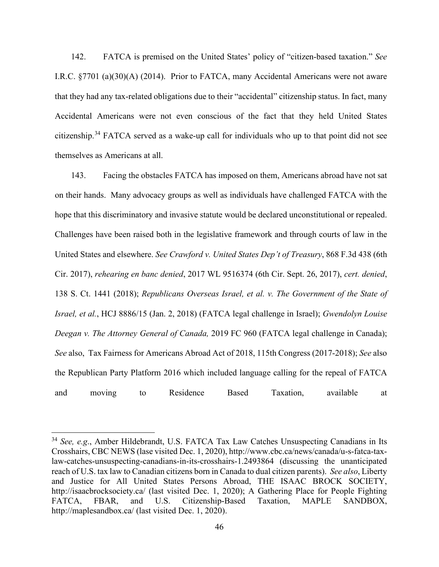142. FATCA is premised on the United States' policy of "citizen-based taxation." *See* I.R.C. §7701 (a)(30)(A) (2014). Prior to FATCA, many Accidental Americans were not aware that they had any tax-related obligations due to their "accidental" citizenship status. In fact, many Accidental Americans were not even conscious of the fact that they held United States citizenship.<sup>[34](#page-45-0)</sup> FATCA served as a wake-up call for individuals who up to that point did not see themselves as Americans at all.

143. Facing the obstacles FATCA has imposed on them, Americans abroad have not sat on their hands. Many advocacy groups as well as individuals have challenged FATCA with the hope that this discriminatory and invasive statute would be declared unconstitutional or repealed. Challenges have been raised both in the legislative framework and through courts of law in the United States and elsewhere. *See Crawford v. United States Dep't of Treasury*, 868 F.3d 438 (6th Cir. 2017), *rehearing en banc denied*, 2017 WL 9516374 (6th Cir. Sept. 26, 2017), *cert. denied*, 138 S. Ct. 1441 (2018); *Republicans Overseas Israel, et al. v. The Government of the State of Israel, et al.*, HCJ 8886/15 (Jan. 2, 2018) (FATCA legal challenge in Israel); *Gwendolyn Louise Deegan v. The Attorney General of Canada,* 2019 FC 960 (FATCA legal challenge in Canada); *See* also, Tax Fairness for Americans Abroad Act of 2018, 115th Congress (2017-2018); *See* also the Republican Party Platform 2016 which included language calling for the repeal of FATCA and moving to Residence Based Taxation, available at

<span id="page-45-0"></span><sup>34</sup> *See, e.g*., Amber Hildebrandt, U.S. FATCA Tax Law Catches Unsuspecting Canadians in Its Crosshairs, CBC NEWS (lase visited Dec. 1, 2020), http://www.cbc.ca/news/canada/u-s-fatca-taxlaw-catches-unsuspecting-canadians-in-its-crosshairs-1.2493864 (discussing the unanticipated reach of U.S. tax law to Canadian citizens born in Canada to dual citizen parents). *See also*, Liberty and Justice for All United States Persons Abroad, THE ISAAC BROCK SOCIETY, http://isaacbrocksociety.ca/ (last visited Dec. 1, 2020); A Gathering Place for People Fighting FATCA, FBAR, and U.S. Citizenship-Based Taxation, MAPLE SANDBOX, http://maplesandbox.ca/ (last visited Dec. 1, 2020).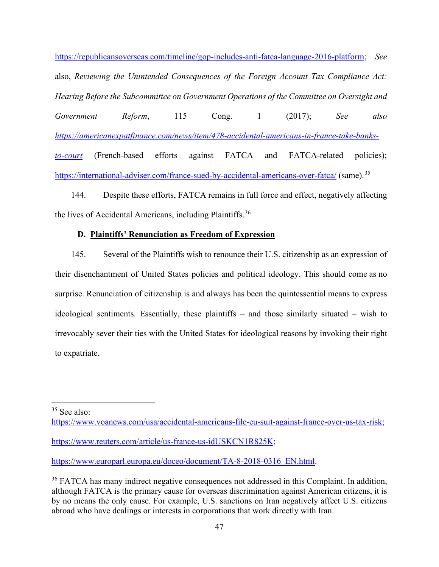[https://republicansoverseas.com/timeline/gop-includes-anti-fatca-language-2016-platform;](https://republicansoverseas.com/timeline/gop-includes-anti-fatca-language-2016-platform) *See* also, *Reviewing the Unintended Consequences of the Foreign Account Tax Compliance Act: Hearing Before the Subcommittee on Government Operations of the Committee on Oversight and Government Reform*, 115 Cong. 1 (2017); *See also [https://americanexpatfinance.com/news/item/478-accidental-americans-in-france-take-banks](https://americanexpatfinance.com/news/item/478-accidental-americans-in-france-take-banks-to-court)[to-court](https://americanexpatfinance.com/news/item/478-accidental-americans-in-france-take-banks-to-court)* (French-based efforts against FATCA and FATCA-related policies); <https://international-adviser.com/france-sued-by-accidental-americans-over-fatca/> (same).<sup>[35](#page-46-0)</sup>

144. Despite these efforts, FATCA remains in full force and effect, negatively affecting the lives of Accidental Americans, including Plaintiffs.<sup>[36](#page-46-1)</sup>

# **D. Plaintiffs' Renunciation as Freedom of Expression**

145. Several of the Plaintiffs wish to renounce their U.S. citizenship as an expression of their disenchantment of United States policies and political ideology. This should come as no surprise. Renunciation of citizenship is and always has been the quintessential means to express ideological sentiments. Essentially, these plaintiffs – and those similarly situated – wish to irrevocably sever their ties with the United States for ideological reasons by invoking their right to expatriate.

<span id="page-46-0"></span><sup>35</sup> See also:

[https://www.voanews.com/usa/accidental-americans-file-eu-suit-against-france-over-us-tax-risk;](https://www.voanews.com/usa/accidental-americans-file-eu-suit-against-france-over-us-tax-risk)

[https://www.reuters.com/article/us-france-us-idUSKCN1R825K;](https://www.reuters.com/article/us-france-us-idUSKCN1R825K)

[https://www.europarl.europa.eu/doceo/document/TA-8-2018-0316\\_EN.html.](https://www.europarl.europa.eu/doceo/document/TA-8-2018-0316_EN.html)

<span id="page-46-1"></span><sup>&</sup>lt;sup>36</sup> FATCA has many indirect negative consequences not addressed in this Complaint. In addition, although FATCA is the primary cause for overseas discrimination against American citizens, it is by no means the only cause. For example, U.S. sanctions on Iran negatively affect U.S. citizens abroad who have dealings or interests in corporations that work directly with Iran.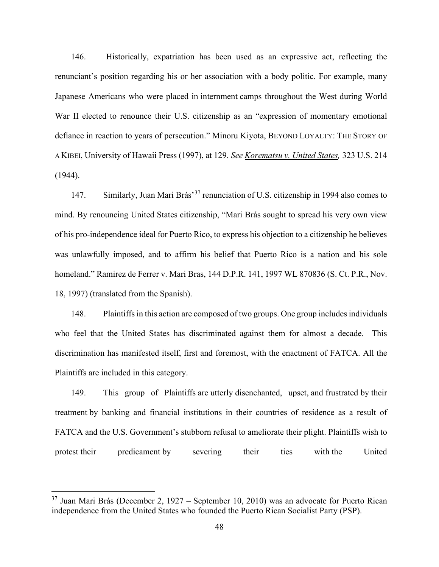146. Historically, expatriation has been used as an expressive act, reflecting the renunciant's position regarding his or her association with a body politic. For example, many Japanese Americans who were placed in internment camps throughout the West during World War II elected to renounce their U.S. citizenship as an "expression of momentary emotional defiance in reaction to years of persecution." Minoru Kiyota, BEYOND LOYALTY: THE STORY OF A KIBEI, University of Hawaii Press (1997), at 129. *See Korematsu v. United States,* 323 U.S. 214 (1944).

147. Similarly, Juan Mari Brás'[37](#page-47-0) renunciation of U.S. citizenship in 1994 also comes to mind. By renouncing United States citizenship, "Mari Brás sought to spread his very own view of his pro-independence ideal for Puerto Rico, to express his objection to a citizenship he believes was unlawfully imposed, and to affirm his belief that Puerto Rico is a nation and his sole homeland." Ramirez de Ferrer v. Mari Bras, 144 D.P.R. 141, 1997 WL 870836 (S. Ct. P.R., Nov. 18, 1997) (translated from the Spanish).

148. Plaintiffs in this action are composed of two groups. One group includes individuals who feel that the United States has discriminated against them for almost a decade. This discrimination has manifested itself, first and foremost, with the enactment of FATCA. All the Plaintiffs are included in this category.

149. This group of Plaintiffs are utterly disenchanted, upset, and frustrated by their treatment by banking and financial institutions in their countries of residence as a result of FATCA and the U.S. Government's stubborn refusal to ameliorate their plight. Plaintiffs wish to protest their predicament by severing their ties with the United

<span id="page-47-0"></span> $37$  Juan Mari Brás (December 2, 1927 – September 10, 2010) was an advocate for Puerto Rican independence from the United States who founded the Puerto Rican Socialist Party (PSP).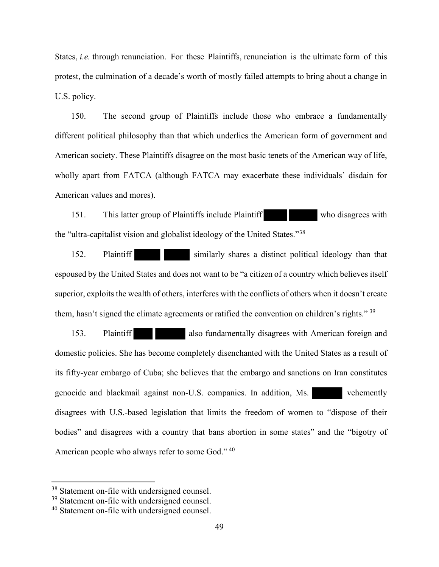States, *i.e.* through renunciation. For these Plaintiffs, renunciation is the ultimate form of this protest, the culmination of a decade's worth of mostly failed attempts to bring about a change in U.S. policy.

150. The second group of Plaintiffs include those who embrace a fundamentally different political philosophy than that which underlies the American form of government and American society. These Plaintiffs disagree on the most basic tenets of the American way of life, wholly apart from FATCA (although FATCA may exacerbate these individuals' disdain for American values and mores).

151. This latter group of Plaintiffs include Plaintiff who disagrees with the "ultra-capitalist vision and globalist ideology of the United States."[38](#page-48-0) 

152. Plaintiff similarly shares a distinct political ideology than that espoused by the United States and does not want to be "a citizen of a country which believes itself superior, exploits the wealth of others, interferes with the conflicts of others when it doesn't create them, hasn't signed the climate agreements or ratified the convention on children's rights."  $39$ 

153. Plaintiff also fundamentally disagrees with American foreign and domestic policies. She has become completely disenchanted with the United States as a result of its fifty-year embargo of Cuba; she believes that the embargo and sanctions on Iran constitutes genocide and blackmail against non-U.S. companies. In addition, Ms. vehemently disagrees with U.S.-based legislation that limits the freedom of women to "dispose of their bodies" and disagrees with a country that bans abortion in some states" and the "bigotry of American people who always refer to some God."<sup>40</sup>

<span id="page-48-0"></span><sup>&</sup>lt;sup>38</sup> Statement on-file with undersigned counsel.

<span id="page-48-1"></span><sup>&</sup>lt;sup>39</sup> Statement on-file with undersigned counsel.

<span id="page-48-2"></span><sup>40</sup> Statement on-file with undersigned counsel.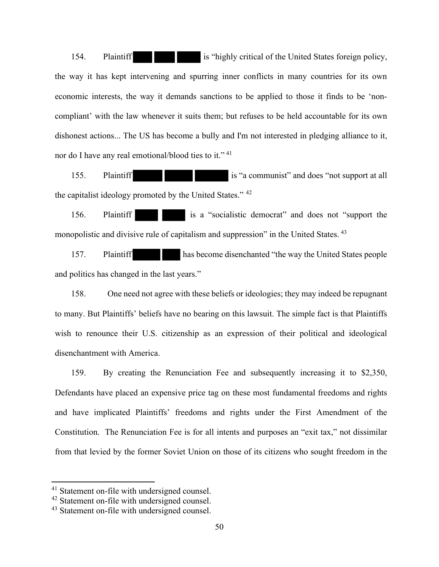154. Plaintiff is "highly critical of the United States foreign policy, the way it has kept intervening and spurring inner conflicts in many countries for its own economic interests, the way it demands sanctions to be applied to those it finds to be 'noncompliant' with the law whenever it suits them; but refuses to be held accountable for its own dishonest actions... The US has become a bully and I'm not interested in pledging alliance to it, nor do I have any real emotional/blood ties to it."<sup>[41](#page-49-0)</sup>

155. Plaintiff is "a communist" and does "not support at all the capitalist ideology promoted by the United States." [42](#page-49-1)

156. Plaintiff is a "socialistic democrat" and does not "support the monopolistic and divisive rule of capitalism and suppression" in the United States. <sup>[43](#page-49-2)</sup>

157. Plaintiff has become disenchanted "the way the United States people and politics has changed in the last years."

158. One need not agree with these beliefs or ideologies; they may indeed be repugnant to many. But Plaintiffs' beliefs have no bearing on this lawsuit. The simple fact is that Plaintiffs wish to renounce their U.S. citizenship as an expression of their political and ideological disenchantment with America.

159. By creating the Renunciation Fee and subsequently increasing it to \$2,350, Defendants have placed an expensive price tag on these most fundamental freedoms and rights and have implicated Plaintiffs' freedoms and rights under the First Amendment of the Constitution. The Renunciation Fee is for all intents and purposes an "exit tax," not dissimilar from that levied by the former Soviet Union on those of its citizens who sought freedom in the

<span id="page-49-0"></span><sup>&</sup>lt;sup>41</sup> Statement on-file with undersigned counsel.

<span id="page-49-1"></span><sup>42</sup> Statement on-file with undersigned counsel.

<span id="page-49-2"></span><sup>&</sup>lt;sup>43</sup> Statement on-file with undersigned counsel.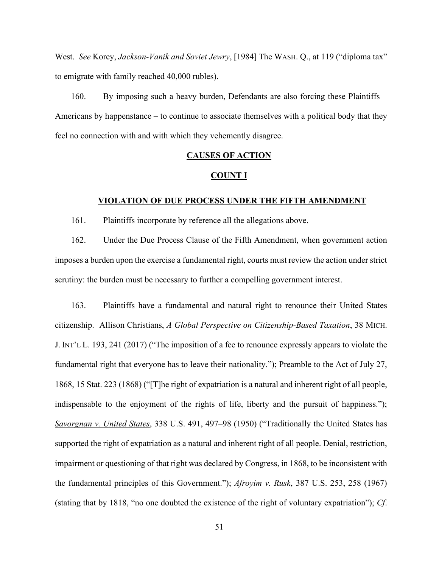West. *See* Korey, *Jackson-Vanik and Soviet Jewry*, [1984] The WASH. Q., at 119 ("diploma tax" to emigrate with family reached 40,000 rubles).

160. By imposing such a heavy burden, Defendants are also forcing these Plaintiffs – Americans by happenstance – to continue to associate themselves with a political body that they feel no connection with and with which they vehemently disagree.

## **CAUSES OF ACTION**

#### **COUNT I**

#### **VIOLATION OF DUE PROCESS UNDER THE FIFTH AMENDMENT**

161. Plaintiffs incorporate by reference all the allegations above.

162. Under the Due Process Clause of the Fifth Amendment, when government action imposes a burden upon the exercise a fundamental right, courts must review the action under strict scrutiny: the burden must be necessary to further a compelling government interest.

163. Plaintiffs have a fundamental and natural right to renounce their United States citizenship. Allison Christians, *A Global Perspective on Citizenship-Based Taxation*, 38 MICH. J. INT'L L. 193, 241 (2017) ("The imposition of a fee to renounce expressly appears to violate the fundamental right that everyone has to leave their nationality."); Preamble to the Act of July 27, 1868, 15 Stat. 223 (1868) ("[T]he right of expatriation is a natural and inherent right of all people, indispensable to the enjoyment of the rights of life, liberty and the pursuit of happiness."); *Savorgnan v. United States*, 338 U.S. 491, 497–98 (1950) ("Traditionally the United States has supported the right of expatriation as a natural and inherent right of all people. Denial, restriction, impairment or questioning of that right was declared by Congress, in 1868, to be inconsistent with the fundamental principles of this Government."); *Afroyim v. Rusk*, 387 U.S. 253, 258 (1967) (stating that by 1818, "no one doubted the existence of the right of voluntary expatriation"); *Cf*.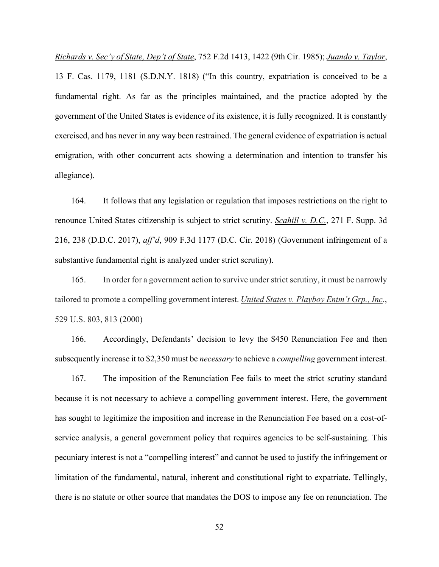*Richards v. Sec'y of State, Dep't of State*, 752 F.2d 1413, 1422 (9th Cir. 1985); *Juando v. Taylor*, 13 F. Cas. 1179, 1181 (S.D.N.Y. 1818) ("In this country, expatriation is conceived to be a fundamental right. As far as the principles maintained, and the practice adopted by the government of the United States is evidence of its existence, it is fully recognized. It is constantly exercised, and has never in any way been restrained. The general evidence of expatriation is actual emigration, with other concurrent acts showing a determination and intention to transfer his allegiance).

164. It follows that any legislation or regulation that imposes restrictions on the right to renounce United States citizenship is subject to strict scrutiny. *Scahill v. D.C.*, 271 F. Supp. 3d 216, 238 (D.D.C. 2017), *aff'd*, 909 F.3d 1177 (D.C. Cir. 2018) (Government infringement of a substantive fundamental right is analyzed under strict scrutiny).

165. In order for a government action to survive under strict scrutiny, it must be narrowly tailored to promote a compelling government interest. *United States v. Playboy Entm't Grp., Inc*., 529 U.S. 803, 813 (2000)

166. Accordingly, Defendants' decision to levy the \$450 Renunciation Fee and then subsequently increase it to \$2,350 must be *necessary* to achieve a *compelling* government interest.

167. The imposition of the Renunciation Fee fails to meet the strict scrutiny standard because it is not necessary to achieve a compelling government interest. Here, the government has sought to legitimize the imposition and increase in the Renunciation Fee based on a cost-ofservice analysis, a general government policy that requires agencies to be self-sustaining. This pecuniary interest is not a "compelling interest" and cannot be used to justify the infringement or limitation of the fundamental, natural, inherent and constitutional right to expatriate. Tellingly, there is no statute or other source that mandates the DOS to impose any fee on renunciation. The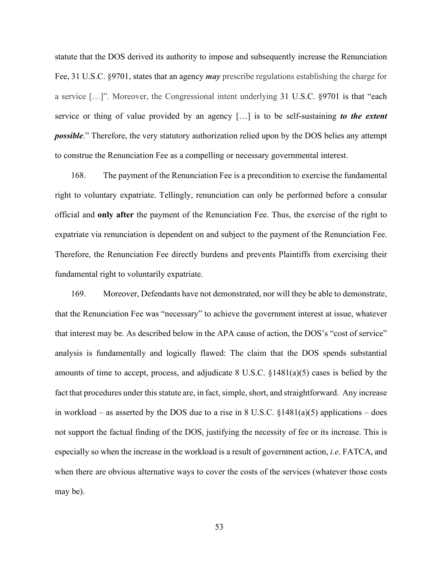statute that the DOS derived its authority to impose and subsequently increase the Renunciation Fee, 31 U.S.C. §9701, states that an agency *may* prescribe regulations establishing the charge for a service […]". Moreover, the Congressional intent underlying 31 U.S.C. §9701 is that "each service or thing of value provided by an agency […] is to be self-sustaining *to the extent possible*." Therefore, the very statutory authorization relied upon by the DOS belies any attempt to construe the Renunciation Fee as a compelling or necessary governmental interest.

168. The payment of the Renunciation Fee is a precondition to exercise the fundamental right to voluntary expatriate. Tellingly, renunciation can only be performed before a consular official and **only after** the payment of the Renunciation Fee. Thus, the exercise of the right to expatriate via renunciation is dependent on and subject to the payment of the Renunciation Fee. Therefore, the Renunciation Fee directly burdens and prevents Plaintiffs from exercising their fundamental right to voluntarily expatriate.

169. Moreover, Defendants have not demonstrated, nor will they be able to demonstrate, that the Renunciation Fee was "necessary" to achieve the government interest at issue, whatever that interest may be. As described below in the APA cause of action, the DOS's "cost of service" analysis is fundamentally and logically flawed: The claim that the DOS spends substantial amounts of time to accept, process, and adjudicate 8 U.S.C. §1481(a)(5) cases is belied by the fact that procedures under this statute are, in fact, simple, short, and straightforward. Any increase in workload – as asserted by the DOS due to a rise in 8 U.S.C.  $\S 1481(a)(5)$  applications – does not support the factual finding of the DOS, justifying the necessity of fee or its increase. This is especially so when the increase in the workload is a result of government action, *i.e.* FATCA, and when there are obvious alternative ways to cover the costs of the services (whatever those costs may be).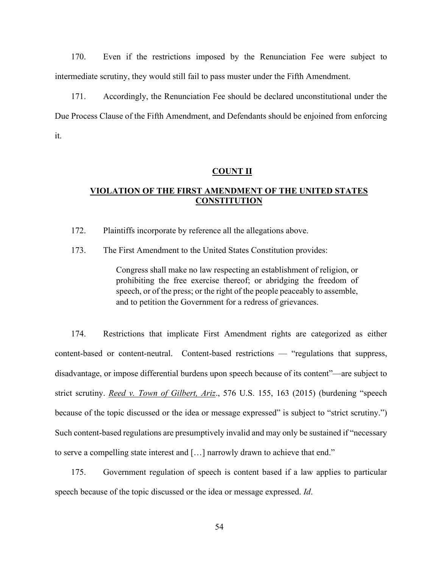170. Even if the restrictions imposed by the Renunciation Fee were subject to intermediate scrutiny, they would still fail to pass muster under the Fifth Amendment.

171. Accordingly, the Renunciation Fee should be declared unconstitutional under the Due Process Clause of the Fifth Amendment, and Defendants should be enjoined from enforcing it.

#### **COUNT II**

# **VIOLATION OF THE FIRST AMENDMENT OF THE UNITED STATES CONSTITUTION**

172. Plaintiffs incorporate by reference all the allegations above.

173. The First Amendment to the United States Constitution provides:

Congress shall make no law respecting an establishment of religion, or prohibiting the free exercise thereof; or abridging the freedom of speech, or of the press; or the right of the people peaceably to assemble, and to petition the Government for a redress of grievances.

174. Restrictions that implicate First Amendment rights are categorized as either content-based or content-neutral. Content-based restrictions — "regulations that suppress, disadvantage, or impose differential burdens upon speech because of its content"—are subject to strict scrutiny. *Reed v. Town of Gilbert, Ariz*., 576 U.S. 155, 163 (2015) (burdening "speech because of the topic discussed or the idea or message expressed" is subject to "strict scrutiny.") Such content-based regulations are presumptively invalid and may only be sustained if "necessary to serve a compelling state interest and […] narrowly drawn to achieve that end."

175. Government regulation of speech is content based if a law applies to particular speech because of the topic discussed or the idea or message expressed. *Id*.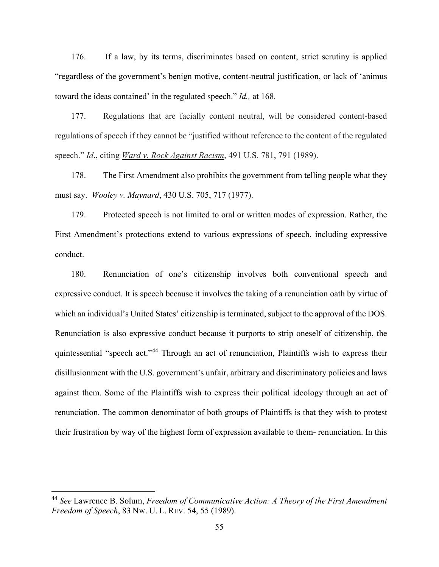176. If a law, by its terms, discriminates based on content, strict scrutiny is applied "regardless of the government's benign motive, content-neutral justification, or lack of 'animus toward the ideas contained' in the regulated speech." *Id.,* at 168.

177. Regulations that are facially content neutral, will be considered content-based regulations of speech if they cannot be "justified without reference to the content of the regulated speech." *Id*., citing *Ward v. Rock Against Racism*, 491 U.S. 781, 791 (1989).

178. The First Amendment also prohibits the government from telling people what they must say. *Wooley v. Maynard*, 430 U.S. 705, 717 (1977).

179. Protected speech is not limited to oral or written modes of expression. Rather, the First Amendment's protections extend to various expressions of speech, including expressive conduct.

180. Renunciation of one's citizenship involves both conventional speech and expressive conduct. It is speech because it involves the taking of a renunciation oath by virtue of which an individual's United States' citizenship is terminated, subject to the approval of the DOS. Renunciation is also expressive conduct because it purports to strip oneself of citizenship, the quintessential "speech act."[44](#page-54-0) Through an act of renunciation, Plaintiffs wish to express their disillusionment with the U.S. government's unfair, arbitrary and discriminatory policies and laws against them. Some of the Plaintiffs wish to express their political ideology through an act of renunciation. The common denominator of both groups of Plaintiffs is that they wish to protest their frustration by way of the highest form of expression available to them- renunciation. In this

<span id="page-54-0"></span><sup>44</sup> *See* Lawrence B. Solum, *Freedom of Communicative Action: A Theory of the First Amendment Freedom of Speech*, 83 NW. U. L. REV. 54, 55 (1989).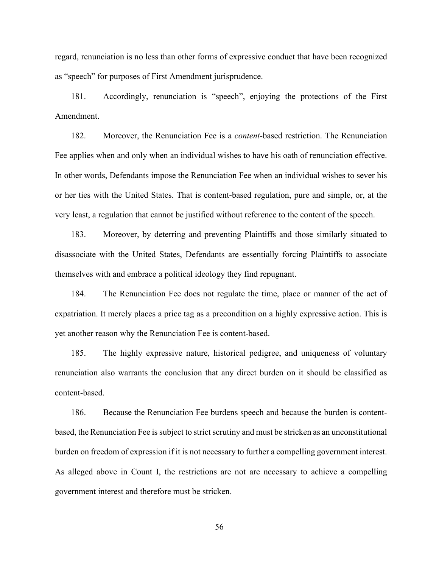regard, renunciation is no less than other forms of expressive conduct that have been recognized as "speech" for purposes of First Amendment jurisprudence.

181. Accordingly, renunciation is "speech", enjoying the protections of the First Amendment.

182. Moreover, the Renunciation Fee is a *content*-based restriction. The Renunciation Fee applies when and only when an individual wishes to have his oath of renunciation effective. In other words, Defendants impose the Renunciation Fee when an individual wishes to sever his or her ties with the United States. That is content-based regulation, pure and simple, or, at the very least, a regulation that cannot be justified without reference to the content of the speech.

183. Moreover, by deterring and preventing Plaintiffs and those similarly situated to disassociate with the United States, Defendants are essentially forcing Plaintiffs to associate themselves with and embrace a political ideology they find repugnant.

184. The Renunciation Fee does not regulate the time, place or manner of the act of expatriation. It merely places a price tag as a precondition on a highly expressive action. This is yet another reason why the Renunciation Fee is content-based.

185. The highly expressive nature, historical pedigree, and uniqueness of voluntary renunciation also warrants the conclusion that any direct burden on it should be classified as content-based.

186. Because the Renunciation Fee burdens speech and because the burden is contentbased, the Renunciation Fee is subject to strict scrutiny and must be stricken as an unconstitutional burden on freedom of expression if it is not necessary to further a compelling government interest. As alleged above in Count I, the restrictions are not are necessary to achieve a compelling government interest and therefore must be stricken.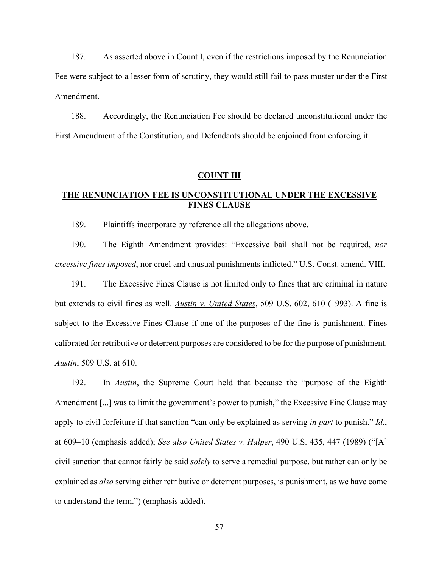187. As asserted above in Count I, even if the restrictions imposed by the Renunciation Fee were subject to a lesser form of scrutiny, they would still fail to pass muster under the First Amendment.

188. Accordingly, the Renunciation Fee should be declared unconstitutional under the First Amendment of the Constitution, and Defendants should be enjoined from enforcing it.

#### **COUNT III**

# **THE RENUNCIATION FEE IS UNCONSTITUTIONAL UNDER THE EXCESSIVE FINES CLAUSE**

189. Plaintiffs incorporate by reference all the allegations above.

190. The Eighth Amendment provides: "Excessive bail shall not be required, *nor excessive fines imposed*, nor cruel and unusual punishments inflicted." U.S. Const. amend. VIII.

191. The Excessive Fines Clause is not limited only to fines that are criminal in nature but extends to civil fines as well. *Austin v. United States*, 509 U.S. 602, 610 (1993). A fine is subject to the Excessive Fines Clause if one of the purposes of the fine is punishment. Fines calibrated for retributive or deterrent purposes are considered to be for the purpose of punishment. *Austin*, 509 U.S. at 610.

192. In *Austin*, the Supreme Court held that because the "purpose of the Eighth Amendment [...] was to limit the government's power to punish," the Excessive Fine Clause may apply to civil forfeiture if that sanction "can only be explained as serving *in part* to punish." *Id*., at 609–10 (emphasis added); *See also United States v. Halper*, 490 U.S. 435, 447 (1989) ("[A] civil sanction that cannot fairly be said *solely* to serve a remedial purpose, but rather can only be explained as *also* serving either retributive or deterrent purposes, is punishment, as we have come to understand the term.") (emphasis added).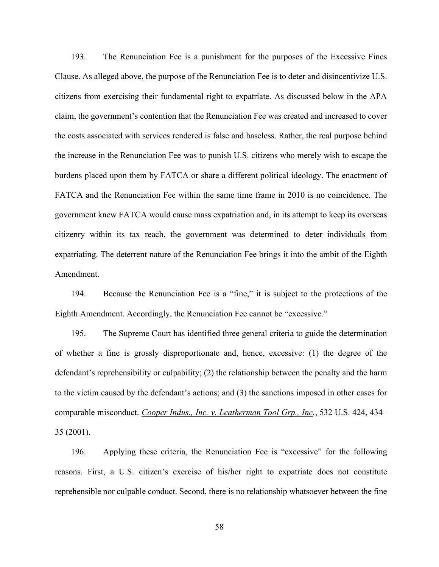193. The Renunciation Fee is a punishment for the purposes of the Excessive Fines Clause. As alleged above, the purpose of the Renunciation Fee is to deter and disincentivize U.S. citizens from exercising their fundamental right to expatriate. As discussed below in the APA claim, the government's contention that the Renunciation Fee was created and increased to cover the costs associated with services rendered is false and baseless. Rather, the real purpose behind the increase in the Renunciation Fee was to punish U.S. citizens who merely wish to escape the burdens placed upon them by FATCA or share a different political ideology. The enactment of FATCA and the Renunciation Fee within the same time frame in 2010 is no coincidence. The government knew FATCA would cause mass expatriation and, in its attempt to keep its overseas citizenry within its tax reach, the government was determined to deter individuals from expatriating. The deterrent nature of the Renunciation Fee brings it into the ambit of the Eighth Amendment.

194. Because the Renunciation Fee is a "fine," it is subject to the protections of the Eighth Amendment. Accordingly, the Renunciation Fee cannot be "excessive."

195. The Supreme Court has identified three general criteria to guide the determination of whether a fine is grossly disproportionate and, hence, excessive: (1) the degree of the defendant's reprehensibility or culpability; (2) the relationship between the penalty and the harm to the victim caused by the defendant's actions; and (3) the sanctions imposed in other cases for comparable misconduct. *Cooper Indus., Inc. v. Leatherman Tool Grp., Inc.*, 532 U.S. 424, 434– 35 (2001).

196. Applying these criteria, the Renunciation Fee is "excessive" for the following reasons. First, a U.S. citizen's exercise of his/her right to expatriate does not constitute reprehensible nor culpable conduct. Second, there is no relationship whatsoever between the fine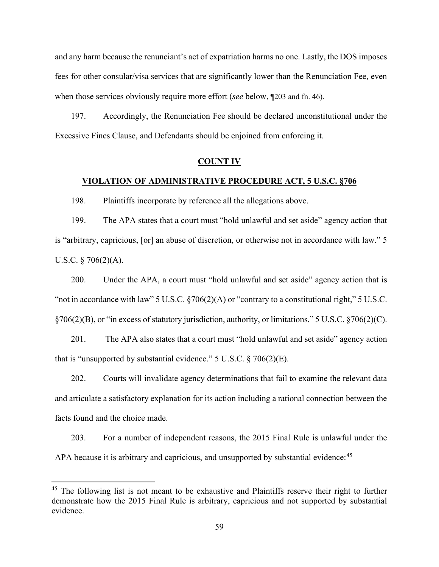and any harm because the renunciant's act of expatriation harms no one. Lastly, the DOS imposes fees for other consular/visa services that are significantly lower than the Renunciation Fee, even when those services obviously require more effort (*see* below, ¶203 and fn. 46).

197. Accordingly, the Renunciation Fee should be declared unconstitutional under the Excessive Fines Clause, and Defendants should be enjoined from enforcing it.

### **COUNT IV**

## **VIOLATION OF ADMINISTRATIVE PROCEDURE ACT, 5 U.S.C. §706**

198. Plaintiffs incorporate by reference all the allegations above.

199. The APA states that a court must "hold unlawful and set aside" agency action that is "arbitrary, capricious, [or] an abuse of discretion, or otherwise not in accordance with law." 5 U.S.C. § 706(2)(A).

200. Under the APA, a court must "hold unlawful and set aside" agency action that is "not in accordance with law" 5 U.S.C. §706(2)(A) or "contrary to a constitutional right," 5 U.S.C. §706(2)(B), or "in excess of statutory jurisdiction, authority, or limitations." 5 U.S.C. §706(2)(C).

201. The APA also states that a court must "hold unlawful and set aside" agency action that is "unsupported by substantial evidence." 5 U.S.C. § 706(2)(E).

202. Courts will invalidate agency determinations that fail to examine the relevant data and articulate a satisfactory explanation for its action including a rational connection between the facts found and the choice made.

203. For a number of independent reasons, the 2015 Final Rule is unlawful under the APA because it is arbitrary and capricious, and unsupported by substantial evidence:<sup>[45](#page-58-0)</sup>

<span id="page-58-0"></span> $45$  The following list is not meant to be exhaustive and Plaintiffs reserve their right to further demonstrate how the 2015 Final Rule is arbitrary, capricious and not supported by substantial evidence.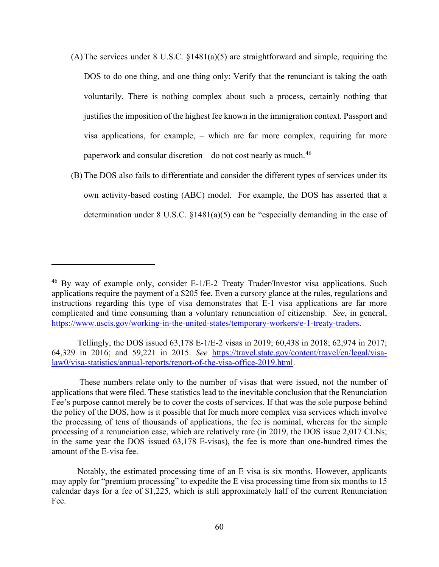- (A)The services under 8 U.S.C. §1481(a)(5) are straightforward and simple, requiring the DOS to do one thing, and one thing only: Verify that the renunciant is taking the oath voluntarily. There is nothing complex about such a process, certainly nothing that justifies the imposition of the highest fee known in the immigration context. Passport and visa applications, for example, – which are far more complex, requiring far more paperwork and consular discretion – do not cost nearly as much.<sup>46</sup>
- (B) The DOS also fails to differentiate and consider the different types of services under its own activity-based costing (ABC) model. For example, the DOS has asserted that a determination under 8 U.S.C. §1481(a)(5) can be "especially demanding in the case of

Tellingly, the DOS issued 63,178 E-1/E-2 visas in 2019; 60,438 in 2018; 62,974 in 2017; 64,329 in 2016; and 59,221 in 2015. *See* [https://travel.state.gov/content/travel/en/legal/visa](https://travel.state.gov/content/travel/en/legal/visa-law0/visa-statistics/annual-reports/report-of-the-visa-office-2019.html)[law0/visa-statistics/annual-reports/report-of-the-visa-office-2019.html.](https://travel.state.gov/content/travel/en/legal/visa-law0/visa-statistics/annual-reports/report-of-the-visa-office-2019.html)

 $46$  By way of example only, consider E-1/E-2 Treaty Trader/Investor visa applications. Such applications require the payment of a \$205 fee. Even a cursory glance at the rules, regulations and instructions regarding this type of visa demonstrates that E-1 visa applications are far more complicated and time consuming than a voluntary renunciation of citizenship. *See*, in general, [https://www.uscis.gov/working-in-the-united-states/temporary-workers/e-1-treaty-traders.](https://www.uscis.gov/working-in-the-united-states/temporary-workers/e-1-treaty-traders)

These numbers relate only to the number of visas that were issued, not the number of applications that were filed. These statistics lead to the inevitable conclusion that the Renunciation Fee's purpose cannot merely be to cover the costs of services. If that was the sole purpose behind the policy of the DOS, how is it possible that for much more complex visa services which involve the processing of tens of thousands of applications, the fee is nominal, whereas for the simple processing of a renunciation case, which are relatively rare (in 2019, the DOS issue 2,017 CLNs; in the same year the DOS issued 63,178 E-visas), the fee is more than one-hundred times the amount of the E-visa fee.

Notably, the estimated processing time of an E visa is six months. However, applicants may apply for "premium processing" to expedite the E visa processing time from six months to 15 calendar days for a fee of \$1,225, which is still approximately half of the current Renunciation Fee.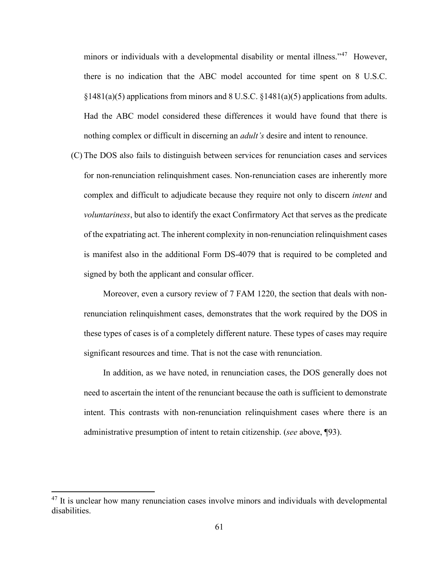minors or individuals with a developmental disability or mental illness."<sup>47</sup> However, there is no indication that the ABC model accounted for time spent on 8 U.S.C.  $§1481(a)(5)$  applications from minors and 8 U.S.C.  $§1481(a)(5)$  applications from adults. Had the ABC model considered these differences it would have found that there is nothing complex or difficult in discerning an *adult's* desire and intent to renounce.

(C) The DOS also fails to distinguish between services for renunciation cases and services for non-renunciation relinquishment cases. Non-renunciation cases are inherently more complex and difficult to adjudicate because they require not only to discern *intent* and *voluntariness*, but also to identify the exact Confirmatory Act that serves as the predicate of the expatriating act. The inherent complexity in non-renunciation relinquishment cases is manifest also in the additional Form DS-4079 that is required to be completed and signed by both the applicant and consular officer.

Moreover, even a cursory review of 7 FAM 1220, the section that deals with nonrenunciation relinquishment cases, demonstrates that the work required by the DOS in these types of cases is of a completely different nature. These types of cases may require significant resources and time. That is not the case with renunciation.

In addition, as we have noted, in renunciation cases, the DOS generally does not need to ascertain the intent of the renunciant because the oath is sufficient to demonstrate intent. This contrasts with non-renunciation relinquishment cases where there is an administrative presumption of intent to retain citizenship. (*see* above, ¶93).

<span id="page-60-0"></span><sup>&</sup>lt;sup>47</sup> It is unclear how many renunciation cases involve minors and individuals with developmental disabilities.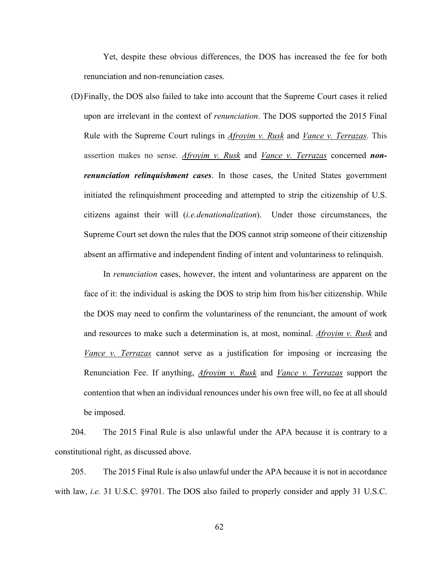Yet, despite these obvious differences, the DOS has increased the fee for both renunciation and non-renunciation cases.

(D)Finally, the DOS also failed to take into account that the Supreme Court cases it relied upon are irrelevant in the context of *renunciation*. The DOS supported the 2015 Final Rule with the Supreme Court rulings in *Afroyim v. Rusk* and *Vance v. Terrazas*. This assertion makes no sense. *Afroyim v. Rusk* and *Vance v. Terrazas* concerned *nonrenunciation relinquishment cases*. In those cases, the United States government initiated the relinquishment proceeding and attempted to strip the citizenship of U.S. citizens against their will (*i.e.denationalization*). Under those circumstances, the Supreme Court set down the rules that the DOS cannot strip someone of their citizenship absent an affirmative and independent finding of intent and voluntariness to relinquish.

In *renunciation* cases, however, the intent and voluntariness are apparent on the face of it: the individual is asking the DOS to strip him from his/her citizenship. While the DOS may need to confirm the voluntariness of the renunciant, the amount of work and resources to make such a determination is, at most, nominal. *Afroyim v. Rusk* and *Vance v. Terrazas* cannot serve as a justification for imposing or increasing the Renunciation Fee. If anything, *Afroyim v. Rusk* and *Vance v. Terrazas* support the contention that when an individual renounces under his own free will, no fee at all should be imposed.

204. The 2015 Final Rule is also unlawful under the APA because it is contrary to a constitutional right, as discussed above.

205. The 2015 Final Rule is also unlawful under the APA because it is not in accordance with law, *i.e.* 31 U.S.C. §9701. The DOS also failed to properly consider and apply 31 U.S.C.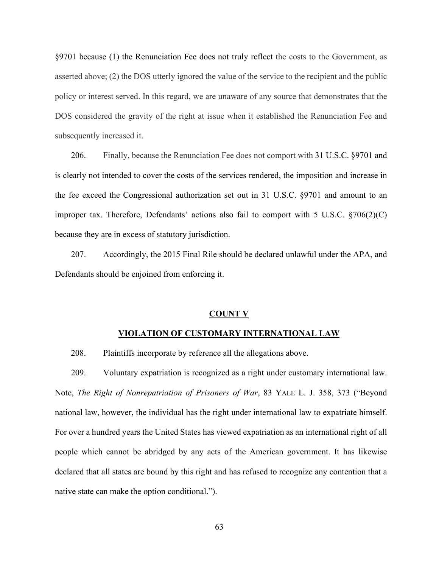§9701 because (1) the Renunciation Fee does not truly reflect the costs to the Government, as asserted above; (2) the DOS utterly ignored the value of the service to the recipient and the public policy or interest served. In this regard, we are unaware of any source that demonstrates that the DOS considered the gravity of the right at issue when it established the Renunciation Fee and subsequently increased it.

206. Finally, because the Renunciation Fee does not comport with 31 U.S.C. §9701 and is clearly not intended to cover the costs of the services rendered, the imposition and increase in the fee exceed the Congressional authorization set out in 31 U.S.C. §9701 and amount to an improper tax. Therefore, Defendants' actions also fail to comport with 5 U.S.C. §706(2)(C) because they are in excess of statutory jurisdiction.

207. Accordingly, the 2015 Final Rile should be declared unlawful under the APA, and Defendants should be enjoined from enforcing it.

#### **COUNT V**

### **VIOLATION OF CUSTOMARY INTERNATIONAL LAW**

208. Plaintiffs incorporate by reference all the allegations above.

209. Voluntary expatriation is recognized as a right under customary international law. Note, *The Right of Nonrepatriation of Prisoners of War*, 83 YALE L. J. 358, 373 ("Beyond national law, however, the individual has the right under international law to expatriate himself. For over a hundred years the United States has viewed expatriation as an international right of all people which cannot be abridged by any acts of the American government. It has likewise declared that all states are bound by this right and has refused to recognize any contention that a native state can make the option conditional.").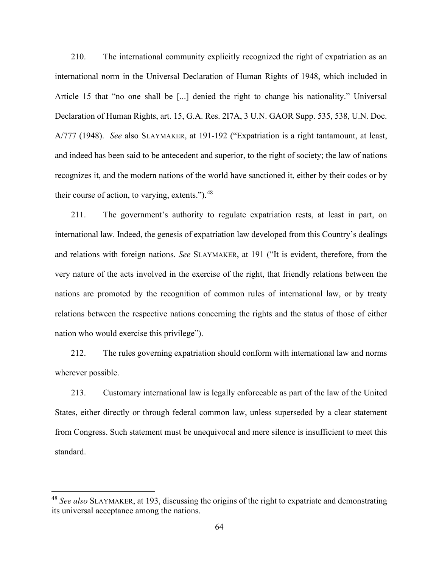210. The international community explicitly recognized the right of expatriation as an international norm in the Universal Declaration of Human Rights of 1948, which included in Article 15 that "no one shall be [...] denied the right to change his nationality." Universal Declaration of Human Rights, art. 15, G.A. Res. 2I7A, 3 U.N. GAOR Supp. 535, 538, U.N. Doc. A/777 (1948). *See* also SLAYMAKER, at 191-192 ("Expatriation is a right tantamount, at least, and indeed has been said to be antecedent and superior, to the right of society; the law of nations recognizes it, and the modern nations of the world have sanctioned it, either by their codes or by their course of action, to varying, extents.").<sup>[48](#page-63-0)</sup>

211. The government's authority to regulate expatriation rests, at least in part, on international law. Indeed, the genesis of expatriation law developed from this Country's dealings and relations with foreign nations. *See* SLAYMAKER, at 191 ("It is evident, therefore, from the very nature of the acts involved in the exercise of the right, that friendly relations between the nations are promoted by the recognition of common rules of international law, or by treaty relations between the respective nations concerning the rights and the status of those of either nation who would exercise this privilege").

212. The rules governing expatriation should conform with international law and norms wherever possible.

213. Customary international law is legally enforceable as part of the law of the United States, either directly or through federal common law, unless superseded by a clear statement from Congress. Such statement must be unequivocal and mere silence is insufficient to meet this standard.

<span id="page-63-0"></span><sup>48</sup> *See also* SLAYMAKER, at 193, discussing the origins of the right to expatriate and demonstrating its universal acceptance among the nations.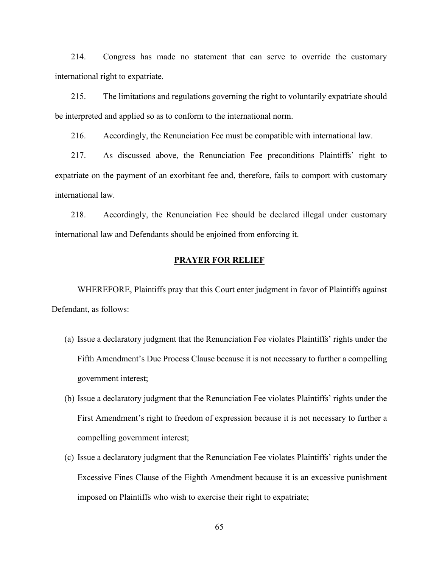214. Congress has made no statement that can serve to override the customary international right to expatriate.

215. The limitations and regulations governing the right to voluntarily expatriate should be interpreted and applied so as to conform to the international norm.

216. Accordingly, the Renunciation Fee must be compatible with international law.

217. As discussed above, the Renunciation Fee preconditions Plaintiffs' right to expatriate on the payment of an exorbitant fee and, therefore, fails to comport with customary international law.

218. Accordingly, the Renunciation Fee should be declared illegal under customary international law and Defendants should be enjoined from enforcing it.

# **PRAYER FOR RELIEF**

WHEREFORE, Plaintiffs pray that this Court enter judgment in favor of Plaintiffs against Defendant, as follows:

- (a) Issue a declaratory judgment that the Renunciation Fee violates Plaintiffs' rights under the Fifth Amendment's Due Process Clause because it is not necessary to further a compelling government interest;
- (b) Issue a declaratory judgment that the Renunciation Fee violates Plaintiffs' rights under the First Amendment's right to freedom of expression because it is not necessary to further a compelling government interest;
- (c) Issue a declaratory judgment that the Renunciation Fee violates Plaintiffs' rights under the Excessive Fines Clause of the Eighth Amendment because it is an excessive punishment imposed on Plaintiffs who wish to exercise their right to expatriate;